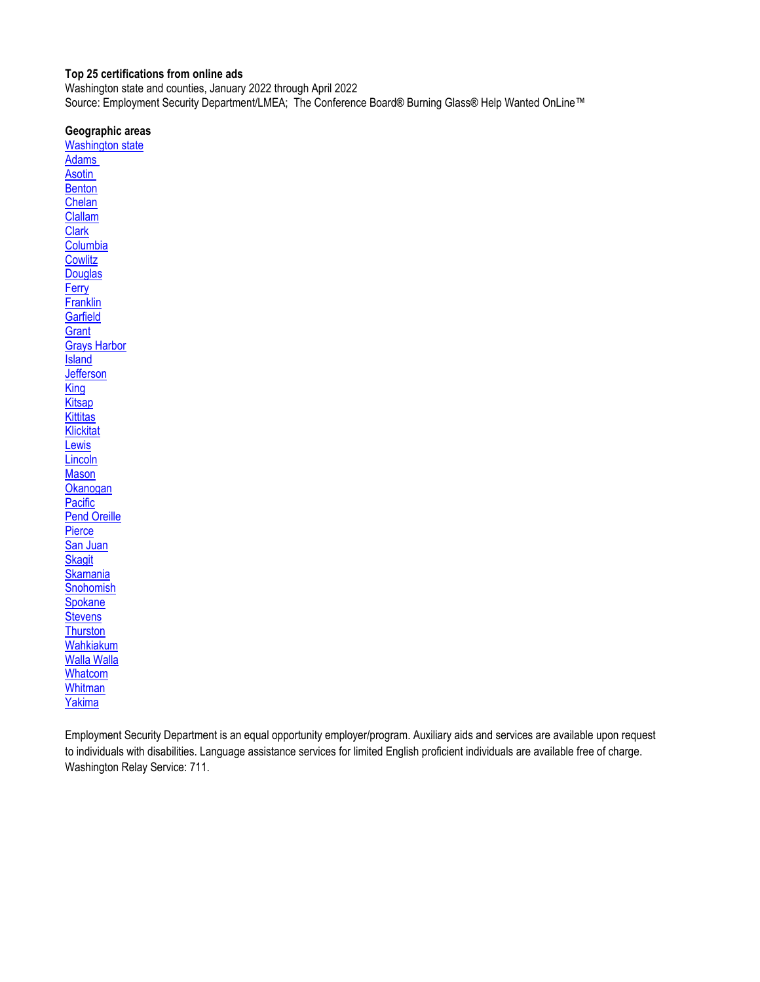#### <span id="page-0-0"></span>**Top 25 certifications from online ads**

Washington state and counties, January 2022 through April 2022 Source: Employment Security Department/LMEA; The Conference Board® Burning Glass® Help Wanted OnLine™

#### **Geographic areas**

[Washington state](#page-1-0) [Adams](#page-2-0)  **Asotin [Benton](#page-4-0)** [Chelan](#page-5-0) [Clallam](#page-6-0) **[Clark](#page-7-0) [Columbia](#page-8-0) [Cowlitz](#page-9-0) [Douglas](#page-10-0) [Ferry](#page-11-0) [Franklin](#page-12-0) [Garfield](#page-13-0) [Grant](#page-14-0)** [Grays Harbor](#page-15-0) **[Island](#page-16-0) [Jefferson](#page-17-0) [King](#page-18-0) [Kitsap](#page-19-0) [Kittitas](#page-20-0) [Klickitat](#page-21-0)** [Lewis](#page-22-0) **[Lincoln](#page-23-0) [Mason](#page-24-0) [Okanogan](#page-25-0) [Pacific](#page-26-0)** [Pend Oreille](#page-27-0) **[Pierce](#page-28-0)** [San Juan](#page-29-0) **[Skagit](#page-30-0) [Skamania](#page-31-0) [Snohomish](#page-32-0) [Spokane](#page-33-0) [Stevens](#page-34-0) [Thurston](#page-35-0)** [Wahkiakum](#page-36-0) [Walla Walla](#page-37-0) **[Whatcom](#page-38-0) [Whitman](#page-39-0)** [Yakima](#page-40-0)

Employment Security Department is an equal opportunity employer/program. Auxiliary aids and services are available upon request to individuals with disabilities. Language assistance services for limited English proficient individuals are available free of charge. Washington Relay Service: 711.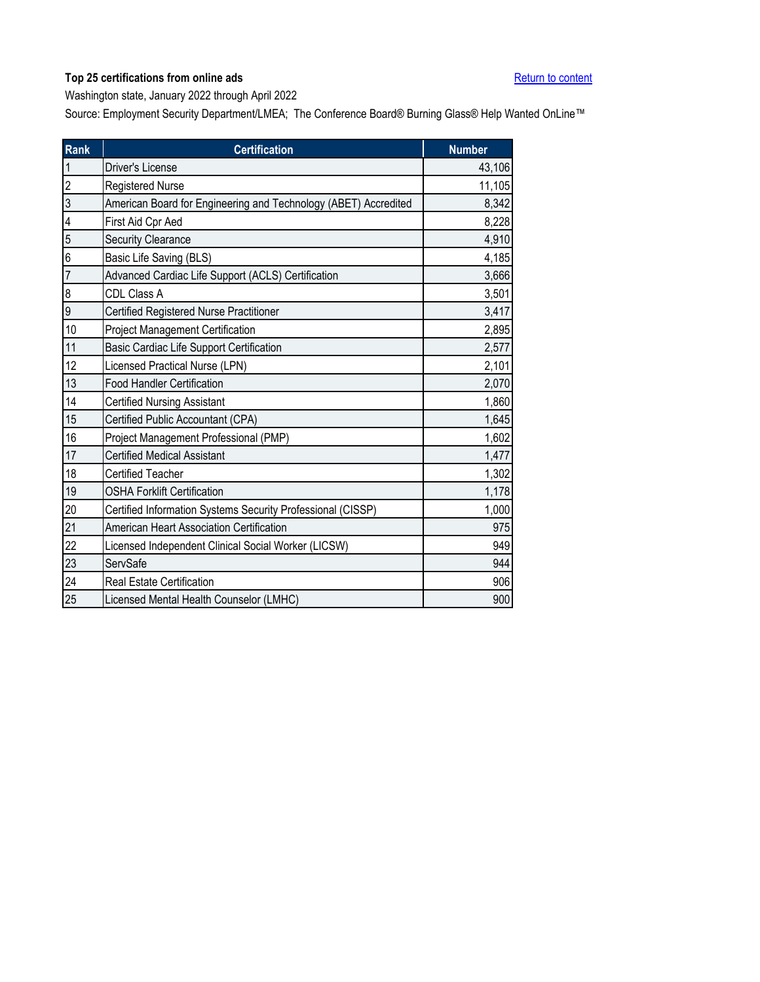<span id="page-1-0"></span>Washington state, January 2022 through April 2022

| <b>Rank</b>      | <b>Certification</b>                                            | <b>Number</b> |
|------------------|-----------------------------------------------------------------|---------------|
| $\mathbf{1}$     | Driver's License                                                | 43,106        |
| $\overline{2}$   | <b>Registered Nurse</b>                                         | 11,105        |
| $\overline{3}$   | American Board for Engineering and Technology (ABET) Accredited | 8,342         |
| 4                | First Aid Cpr Aed                                               | 8,228         |
| 5                | <b>Security Clearance</b>                                       | 4,910         |
| 6                | Basic Life Saving (BLS)                                         | 4,185         |
| $\overline{7}$   | Advanced Cardiac Life Support (ACLS) Certification              | 3,666         |
| $\boldsymbol{8}$ | CDL Class A                                                     | 3,501         |
| 9                | Certified Registered Nurse Practitioner                         | 3,417         |
| 10               | <b>Project Management Certification</b>                         | 2,895         |
| 11               | Basic Cardiac Life Support Certification                        | 2,577         |
| 12               | Licensed Practical Nurse (LPN)                                  | 2,101         |
| 13               | <b>Food Handler Certification</b>                               | 2,070         |
| 14               | <b>Certified Nursing Assistant</b>                              | 1,860         |
| 15               | Certified Public Accountant (CPA)                               | 1,645         |
| 16               | Project Management Professional (PMP)                           | 1,602         |
| 17               | <b>Certified Medical Assistant</b>                              | 1,477         |
| 18               | <b>Certified Teacher</b>                                        | 1,302         |
| 19               | <b>OSHA Forklift Certification</b>                              | 1,178         |
| 20               | Certified Information Systems Security Professional (CISSP)     | 1,000         |
| 21               | American Heart Association Certification                        | 975           |
| 22               | Licensed Independent Clinical Social Worker (LICSW)             | 949           |
| 23               | ServSafe                                                        | 944           |
| 24               | <b>Real Estate Certification</b>                                | 906           |
| 25               | Licensed Mental Health Counselor (LMHC)                         | 900           |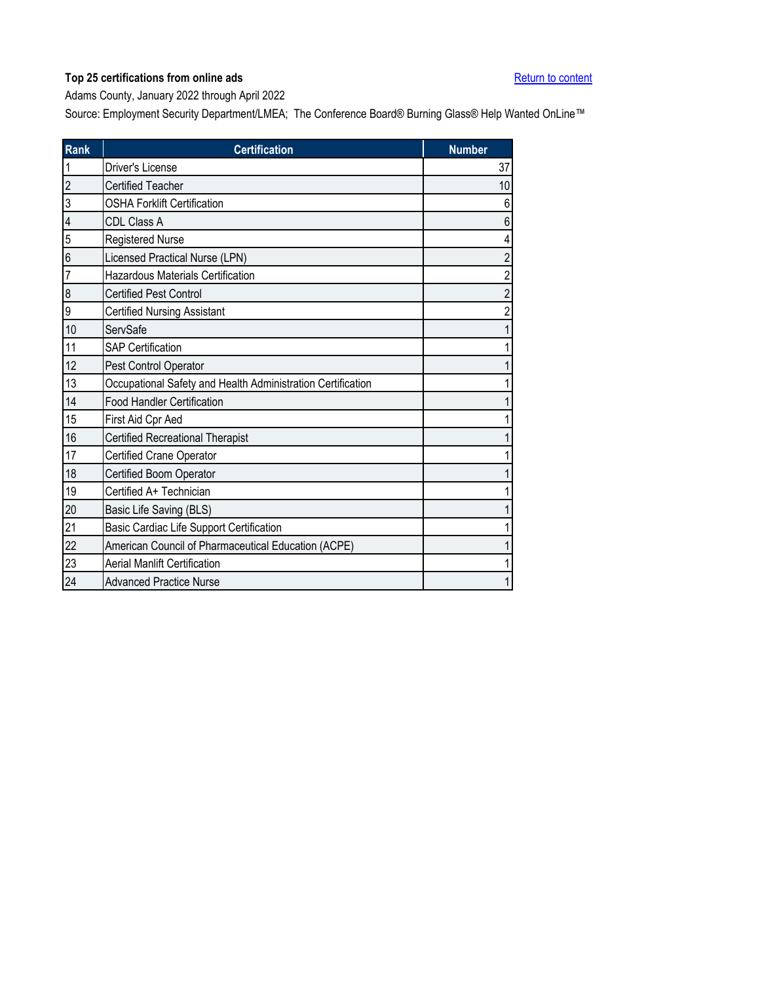<span id="page-2-0"></span>Adams County, January 2022 through April 2022

| Rank           | <b>Certification</b>                                        | <b>Number</b> |
|----------------|-------------------------------------------------------------|---------------|
|                | Driver's License                                            | 37            |
| $\overline{c}$ | <b>Certified Teacher</b>                                    | 10            |
| 3              | <b>OSHA Forklift Certification</b>                          | 6             |
| $\overline{4}$ | <b>CDL Class A</b>                                          | 6             |
| 5              | <b>Registered Nurse</b>                                     | 4             |
| 6              | Licensed Practical Nurse (LPN)                              | 2             |
| 7              | <b>Hazardous Materials Certification</b>                    | 2             |
| 8              | <b>Certified Pest Control</b>                               | 2             |
| 9              | <b>Certified Nursing Assistant</b>                          |               |
| 10             | ServSafe                                                    |               |
| 11             | <b>SAP Certification</b>                                    |               |
| 12             | Pest Control Operator                                       |               |
| 13             | Occupational Safety and Health Administration Certification |               |
| 14             | <b>Food Handler Certification</b>                           |               |
| 15             | First Aid Cpr Aed                                           |               |
| 16             | <b>Certified Recreational Therapist</b>                     |               |
| 17             | Certified Crane Operator                                    |               |
| 18             | Certified Boom Operator                                     |               |
| 19             | Certified A+ Technician                                     |               |
| 20             | Basic Life Saving (BLS)                                     |               |
| 21             | Basic Cardiac Life Support Certification                    |               |
| 22             | American Council of Pharmaceutical Education (ACPE)         |               |
| 23             | <b>Aerial Manlift Certification</b>                         |               |
| 24             | <b>Advanced Practice Nurse</b>                              |               |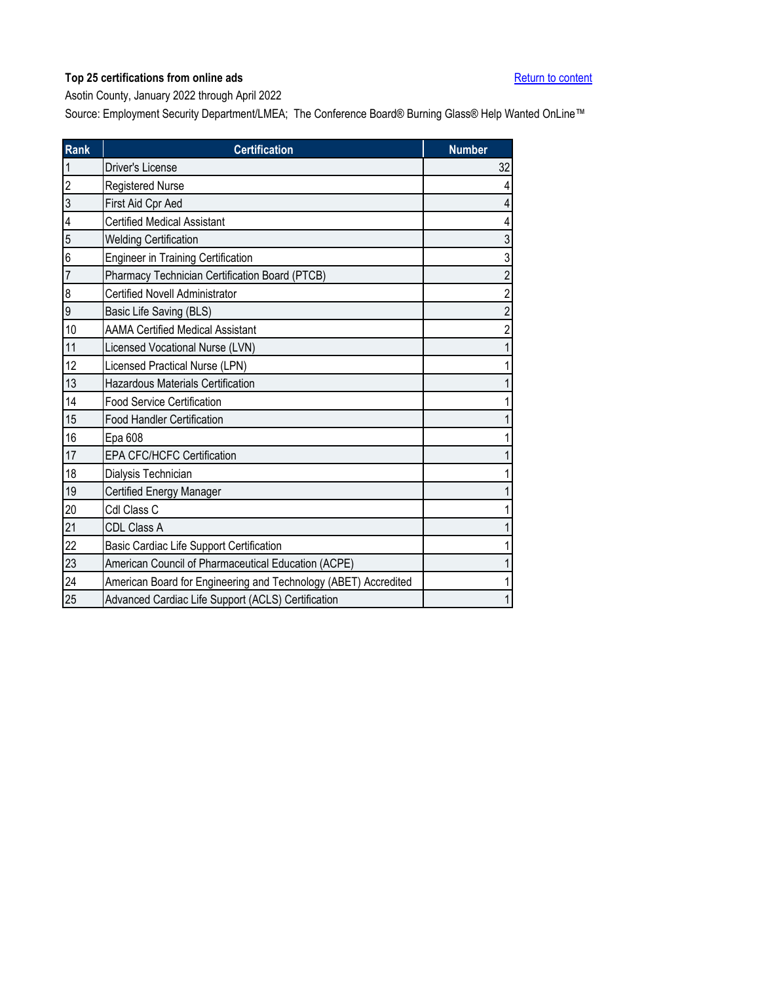<span id="page-3-0"></span>Asotin County, January 2022 through April 2022

| <b>Rank</b>    | <b>Certification</b>                                            | <b>Number</b>  |
|----------------|-----------------------------------------------------------------|----------------|
| $\mathbf{1}$   | Driver's License                                                | 32             |
| $\overline{c}$ | Registered Nurse                                                | 4              |
| 3              | First Aid Cpr Aed                                               | 4              |
| 4              | <b>Certified Medical Assistant</b>                              | 4              |
| 5              | <b>Welding Certification</b>                                    | 3              |
| 6              | <b>Engineer in Training Certification</b>                       | 3              |
| $\overline{7}$ | Pharmacy Technician Certification Board (PTCB)                  | $\overline{2}$ |
| 8              | <b>Certified Novell Administrator</b>                           | $\overline{2}$ |
| 9              | Basic Life Saving (BLS)                                         | 2              |
| 10             | <b>AAMA Certified Medical Assistant</b>                         |                |
| 11             | Licensed Vocational Nurse (LVN)                                 |                |
| 12             | Licensed Practical Nurse (LPN)                                  |                |
| 13             | <b>Hazardous Materials Certification</b>                        |                |
| 14             | <b>Food Service Certification</b>                               |                |
| 15             | <b>Food Handler Certification</b>                               |                |
| 16             | Epa 608                                                         |                |
| 17             | <b>EPA CFC/HCFC Certification</b>                               |                |
| 18             | Dialysis Technician                                             |                |
| 19             | Certified Energy Manager                                        |                |
| 20             | Cdl Class C                                                     |                |
| 21             | CDL Class A                                                     |                |
| 22             | <b>Basic Cardiac Life Support Certification</b>                 |                |
| 23             | American Council of Pharmaceutical Education (ACPE)             |                |
| 24             | American Board for Engineering and Technology (ABET) Accredited |                |
| 25             | Advanced Cardiac Life Support (ACLS) Certification              |                |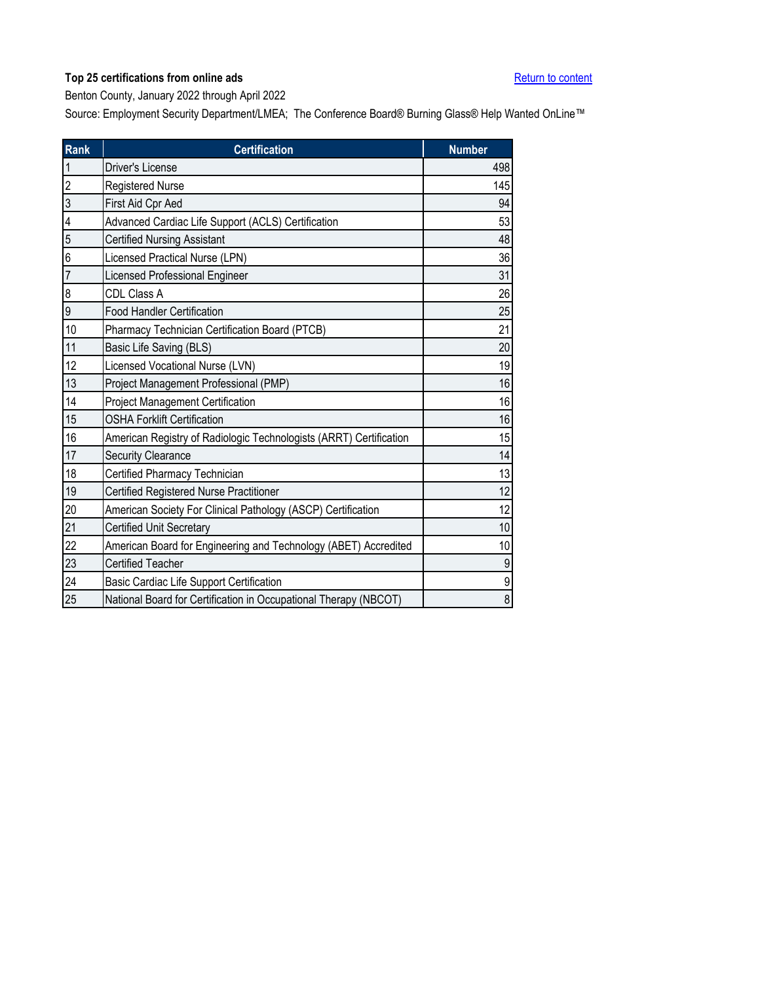<span id="page-4-0"></span>Benton County, January 2022 through April 2022

| <b>Rank</b>    | <b>Certification</b>                                               | <b>Number</b>  |
|----------------|--------------------------------------------------------------------|----------------|
| $\mathbf{1}$   | <b>Driver's License</b>                                            | 498            |
| $\overline{c}$ | Registered Nurse                                                   | 145            |
| $\overline{3}$ | First Aid Cpr Aed                                                  | 94             |
| 4              | Advanced Cardiac Life Support (ACLS) Certification                 | 53             |
| 5              | <b>Certified Nursing Assistant</b>                                 | 48             |
| 6              | Licensed Practical Nurse (LPN)                                     | 36             |
| $\overline{7}$ | Licensed Professional Engineer                                     | 31             |
| 8              | CDL Class A                                                        | 26             |
| 9              | <b>Food Handler Certification</b>                                  | 25             |
| 10             | Pharmacy Technician Certification Board (PTCB)                     | 21             |
| 11             | Basic Life Saving (BLS)                                            | 20             |
| 12             | Licensed Vocational Nurse (LVN)                                    | 19             |
| 13             | Project Management Professional (PMP)                              | 16             |
| 14             | <b>Project Management Certification</b>                            | 16             |
| 15             | <b>OSHA Forklift Certification</b>                                 | 16             |
| 16             | American Registry of Radiologic Technologists (ARRT) Certification | 15             |
| 17             | Security Clearance                                                 | 14             |
| 18             | Certified Pharmacy Technician                                      | 13             |
| 19             | Certified Registered Nurse Practitioner                            | 12             |
| 20             | American Society For Clinical Pathology (ASCP) Certification       | 12             |
| 21             | <b>Certified Unit Secretary</b>                                    | 10             |
| 22             | American Board for Engineering and Technology (ABET) Accredited    | 10             |
| 23             | <b>Certified Teacher</b>                                           | 9              |
| 24             | Basic Cardiac Life Support Certification                           | 9              |
| 25             | National Board for Certification in Occupational Therapy (NBCOT)   | $\overline{8}$ |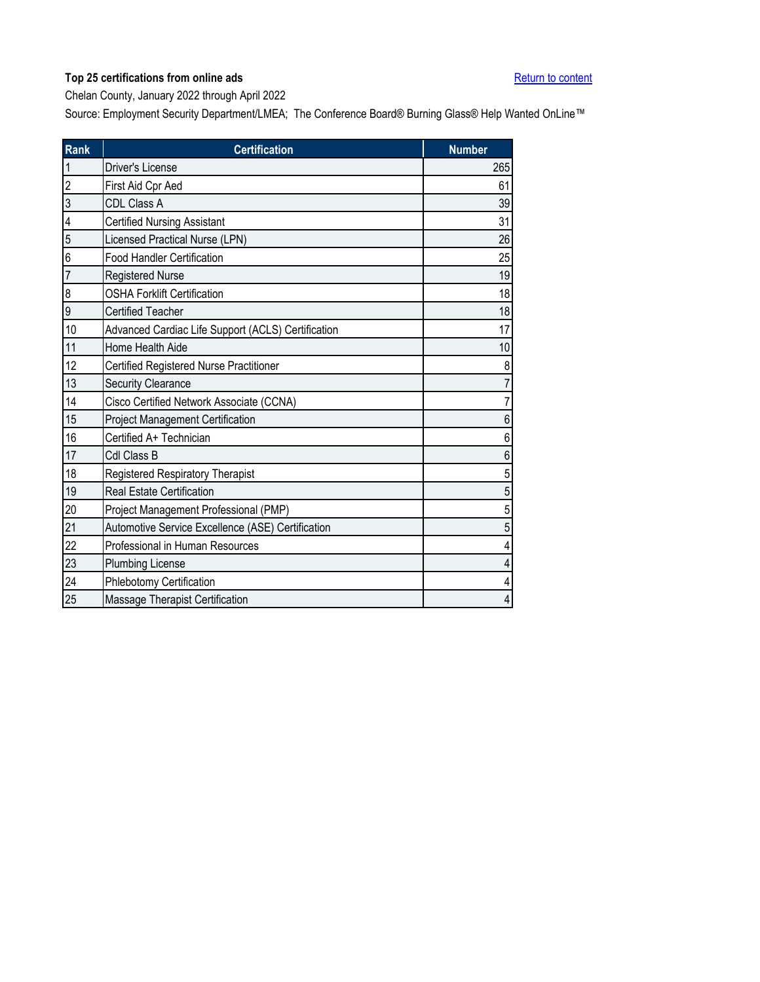<span id="page-5-0"></span>Chelan County, January 2022 through April 2022

| <b>Rank</b>    | <b>Certification</b>                               | <b>Number</b>  |
|----------------|----------------------------------------------------|----------------|
| $\mathbf{1}$   | <b>Driver's License</b>                            | 265            |
| $\overline{c}$ | First Aid Cpr Aed                                  | 61             |
| 3              | CDL Class A                                        | 39             |
| 4              | <b>Certified Nursing Assistant</b>                 | 31             |
| 5              | Licensed Practical Nurse (LPN)                     | 26             |
| 6              | <b>Food Handler Certification</b>                  | 25             |
| $\overline{7}$ | <b>Registered Nurse</b>                            | 19             |
| 8              | <b>OSHA Forklift Certification</b>                 | 18             |
| 9              | <b>Certified Teacher</b>                           | 18             |
| 10             | Advanced Cardiac Life Support (ACLS) Certification | 17             |
| 11             | Home Health Aide                                   | $10$           |
| 12             | Certified Registered Nurse Practitioner            | 8              |
| 13             | <b>Security Clearance</b>                          |                |
| 14             | Cisco Certified Network Associate (CCNA)           | $\overline{7}$ |
| 15             | Project Management Certification                   | 6              |
| 16             | Certified A+ Technician                            | 6              |
| 17             | Cdl Class B                                        | 6              |
| 18             | <b>Registered Respiratory Therapist</b>            | 5              |
| 19             | <b>Real Estate Certification</b>                   | 5              |
| 20             | Project Management Professional (PMP)              | 5              |
| 21             | Automotive Service Excellence (ASE) Certification  | 5              |
| 22             | Professional in Human Resources                    |                |
| 23             | <b>Plumbing License</b>                            | 4              |
| 24             | Phlebotomy Certification                           | 4              |
| 25             | Massage Therapist Certification                    | 4              |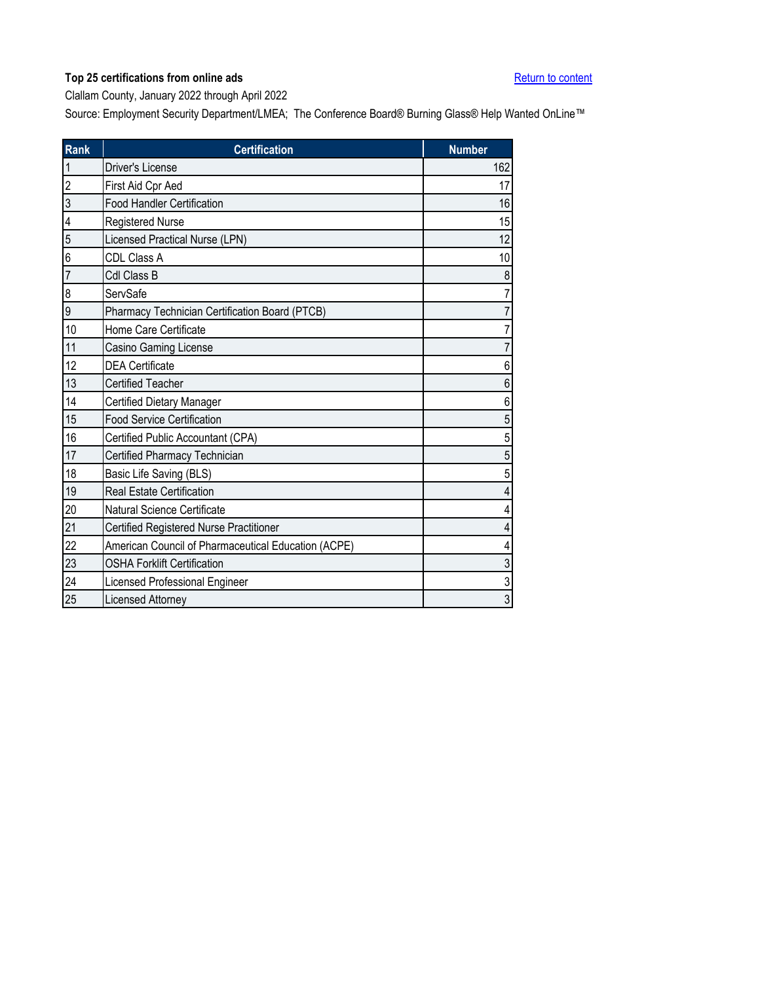<span id="page-6-0"></span>Clallam County, January 2022 through April 2022

| <b>Rank</b>    | <b>Certification</b>                                | <b>Number</b> |
|----------------|-----------------------------------------------------|---------------|
| $\mathbf 1$    | Driver's License                                    | 162           |
| $\overline{2}$ | First Aid Cpr Aed                                   | 17            |
| 3              | <b>Food Handler Certification</b>                   | 16            |
| 4              | <b>Registered Nurse</b>                             | 15            |
| 5              | Licensed Practical Nurse (LPN)                      | 12            |
| 6              | CDL Class A                                         | 10            |
| $\overline{7}$ | Cdl Class B                                         | 8             |
| 8              | ServSafe                                            | 7             |
| 9              | Pharmacy Technician Certification Board (PTCB)      |               |
| 10             | Home Care Certificate                               |               |
| 11             | Casino Gaming License                               | 7             |
| 12             | <b>DEA Certificate</b>                              | 6             |
| 13             | <b>Certified Teacher</b>                            | 6             |
| 14             | <b>Certified Dietary Manager</b>                    | 6             |
| 15             | <b>Food Service Certification</b>                   | 5             |
| 16             | Certified Public Accountant (CPA)                   | 5             |
| 17             | Certified Pharmacy Technician                       | 5             |
| 18             | Basic Life Saving (BLS)                             | 5             |
| 19             | <b>Real Estate Certification</b>                    | 4             |
| 20             | Natural Science Certificate                         | 4             |
| 21             | Certified Registered Nurse Practitioner             | 4             |
| 22             | American Council of Pharmaceutical Education (ACPE) | 4             |
| 23             | <b>OSHA Forklift Certification</b>                  | 3             |
| 24             | Licensed Professional Engineer                      | 3             |
| 25             | Licensed Attorney                                   | 3             |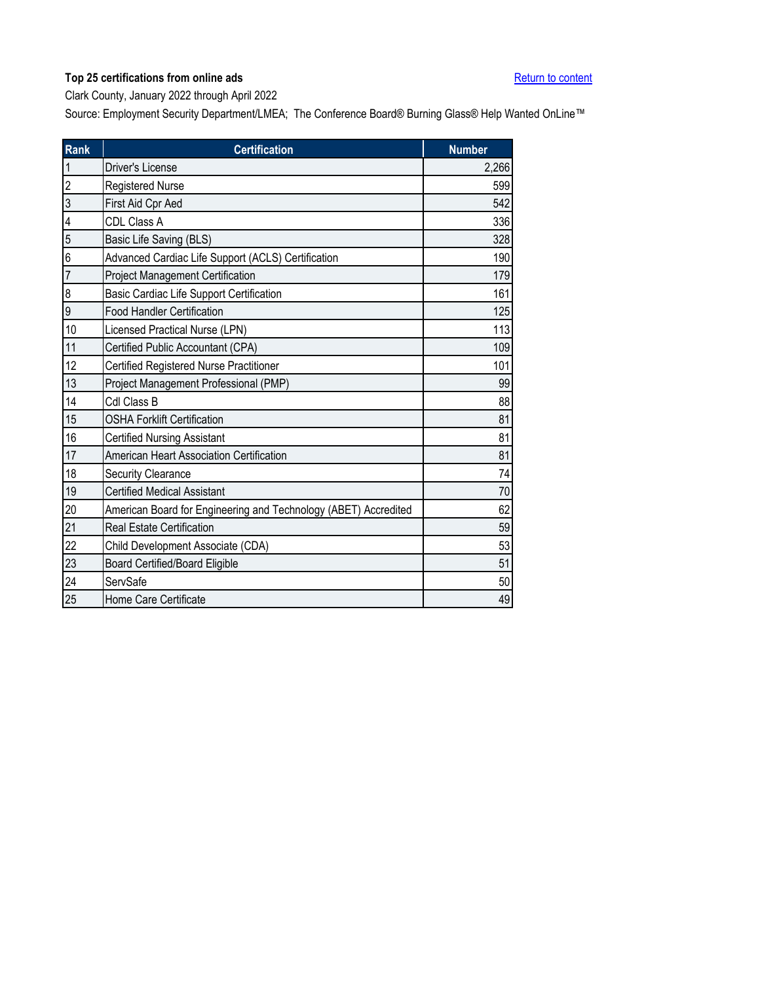<span id="page-7-0"></span>Clark County, January 2022 through April 2022

| <b>Rank</b>    | <b>Certification</b>                                            | <b>Number</b> |
|----------------|-----------------------------------------------------------------|---------------|
| $\mathbf{1}$   | <b>Driver's License</b>                                         | 2,266         |
| $\overline{2}$ | <b>Registered Nurse</b>                                         | 599           |
| 3              | First Aid Cpr Aed                                               | 542           |
| 4              | CDL Class A                                                     | 336           |
| 5              | Basic Life Saving (BLS)                                         | 328           |
| 6              | Advanced Cardiac Life Support (ACLS) Certification              | 190           |
| $\overline{7}$ | Project Management Certification                                | 179           |
| 8              | Basic Cardiac Life Support Certification                        | 161           |
| 9              | <b>Food Handler Certification</b>                               | 125           |
| 10             | Licensed Practical Nurse (LPN)                                  | 113           |
| 11             | Certified Public Accountant (CPA)                               | 109           |
| 12             | Certified Registered Nurse Practitioner                         | 101           |
| 13             | Project Management Professional (PMP)                           | 99            |
| 14             | Cdl Class B                                                     | 88            |
| 15             | <b>OSHA Forklift Certification</b>                              | 81            |
| 16             | <b>Certified Nursing Assistant</b>                              | 81            |
| 17             | American Heart Association Certification                        | 81            |
| 18             | Security Clearance                                              | 74            |
| 19             | <b>Certified Medical Assistant</b>                              | 70            |
| 20             | American Board for Engineering and Technology (ABET) Accredited | 62            |
| 21             | <b>Real Estate Certification</b>                                | 59            |
| 22             | Child Development Associate (CDA)                               | 53            |
| 23             | Board Certified/Board Eligible                                  | 51            |
| 24             | ServSafe                                                        | 50            |
| 25             | Home Care Certificate                                           | 49            |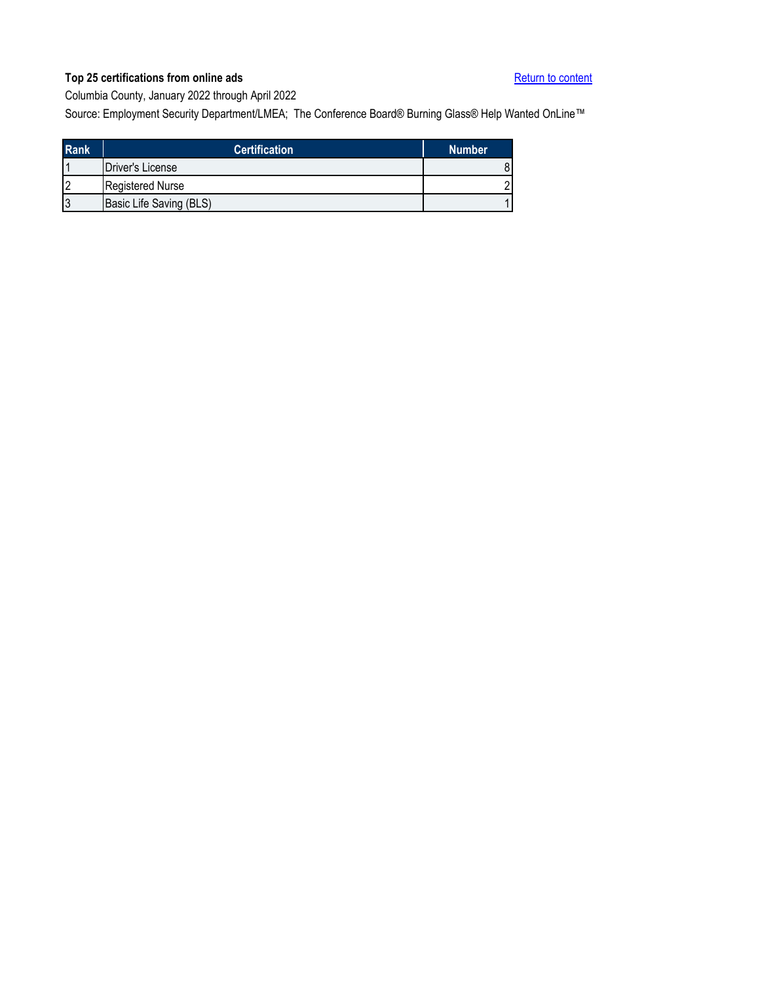<span id="page-8-0"></span>Columbia County, January 2022 through April 2022

| <b>Rank</b>    | <b>Certification</b>     | <b>Number</b> |
|----------------|--------------------------|---------------|
|                | <b>IDriver's License</b> |               |
| $\overline{2}$ | <b>Registered Nurse</b>  |               |
| 3              | Basic Life Saving (BLS)  |               |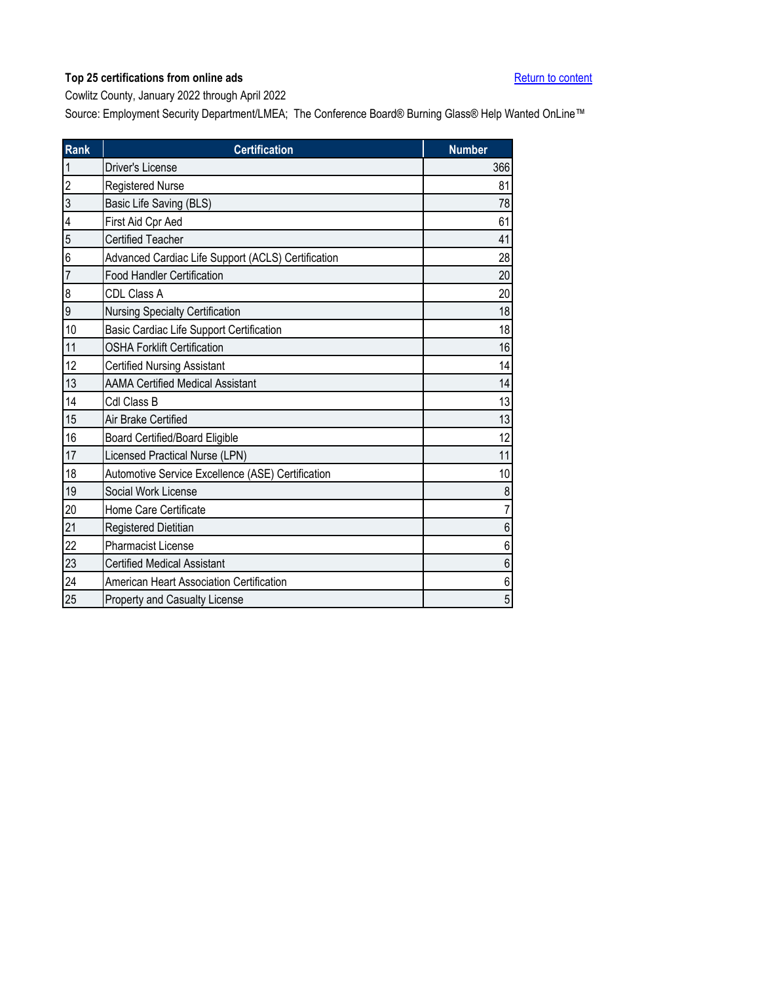<span id="page-9-0"></span>Cowlitz County, January 2022 through April 2022

| Rank           | <b>Certification</b>                               | <b>Number</b>  |
|----------------|----------------------------------------------------|----------------|
| $\mathbf{1}$   | Driver's License                                   | 366            |
| $\overline{c}$ | <b>Registered Nurse</b>                            | 81             |
| $\overline{3}$ | Basic Life Saving (BLS)                            | 78             |
| 4              | First Aid Cpr Aed                                  | 61             |
| 5              | <b>Certified Teacher</b>                           | 41             |
| 6              | Advanced Cardiac Life Support (ACLS) Certification | 28             |
| $\overline{7}$ | <b>Food Handler Certification</b>                  | 20             |
| 8              | CDL Class A                                        | 20             |
| 9              | Nursing Specialty Certification                    | 18             |
| 10             | Basic Cardiac Life Support Certification           | 18             |
| 11             | <b>OSHA Forklift Certification</b>                 | 16             |
| 12             | <b>Certified Nursing Assistant</b>                 | 14             |
| 13             | <b>AAMA Certified Medical Assistant</b>            | 14             |
| 14             | Cdl Class B                                        | 13             |
| 15             | Air Brake Certified                                | 13             |
| 16             | <b>Board Certified/Board Eligible</b>              | 12             |
| 17             | Licensed Practical Nurse (LPN)                     | 11             |
| 18             | Automotive Service Excellence (ASE) Certification  | 10             |
| 19             | Social Work License                                | 8              |
| 20             | Home Care Certificate                              | $\overline{7}$ |
| 21             | Registered Dietitian                               | 6              |
| 22             | <b>Pharmacist License</b>                          | 6              |
| 23             | <b>Certified Medical Assistant</b>                 | 6              |
| 24             | American Heart Association Certification           | 6              |
| 25             | Property and Casualty License                      | 5              |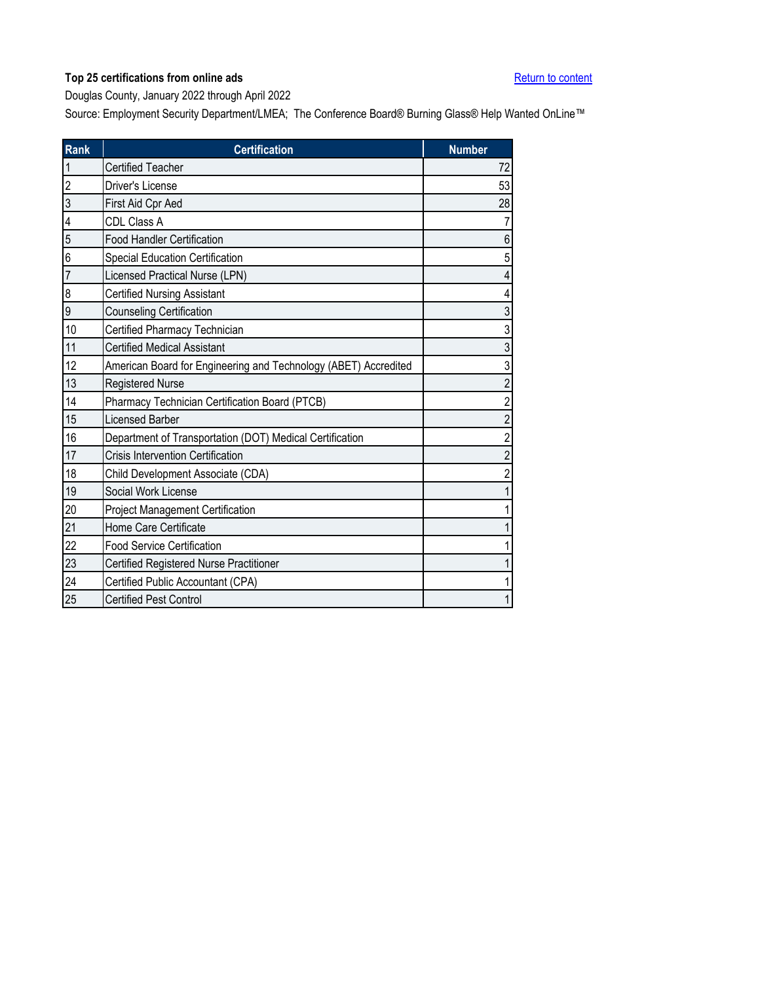<span id="page-10-0"></span>Douglas County, January 2022 through April 2022

| <b>Rank</b>    | <b>Certification</b>                                            | <b>Number</b>  |
|----------------|-----------------------------------------------------------------|----------------|
| 1              | <b>Certified Teacher</b>                                        | 72             |
| $\overline{2}$ | Driver's License                                                | 53             |
| 3              | First Aid Cpr Aed                                               | 28             |
| 4              | CDL Class A                                                     |                |
| 5              | <b>Food Handler Certification</b>                               | 6              |
| 6              | Special Education Certification                                 | 5              |
| $\overline{7}$ | Licensed Practical Nurse (LPN)                                  | 4              |
| 8              | <b>Certified Nursing Assistant</b>                              |                |
| 9              | <b>Counseling Certification</b>                                 | 3              |
| 10             | Certified Pharmacy Technician                                   | 3              |
| 11             | <b>Certified Medical Assistant</b>                              | 3              |
| 12             | American Board for Engineering and Technology (ABET) Accredited | 3              |
| 13             | <b>Registered Nurse</b>                                         | $\overline{2}$ |
| 14             | Pharmacy Technician Certification Board (PTCB)                  | $\overline{2}$ |
| 15             | Licensed Barber                                                 | $\overline{2}$ |
| 16             | Department of Transportation (DOT) Medical Certification        | $\overline{2}$ |
| 17             | Crisis Intervention Certification                               | 2              |
| 18             | Child Development Associate (CDA)                               | 2              |
| 19             | Social Work License                                             |                |
| 20             | <b>Project Management Certification</b>                         |                |
| 21             | Home Care Certificate                                           |                |
| 22             | <b>Food Service Certification</b>                               |                |
| 23             | Certified Registered Nurse Practitioner                         |                |
| 24             | Certified Public Accountant (CPA)                               |                |
| 25             | <b>Certified Pest Control</b>                                   | 1              |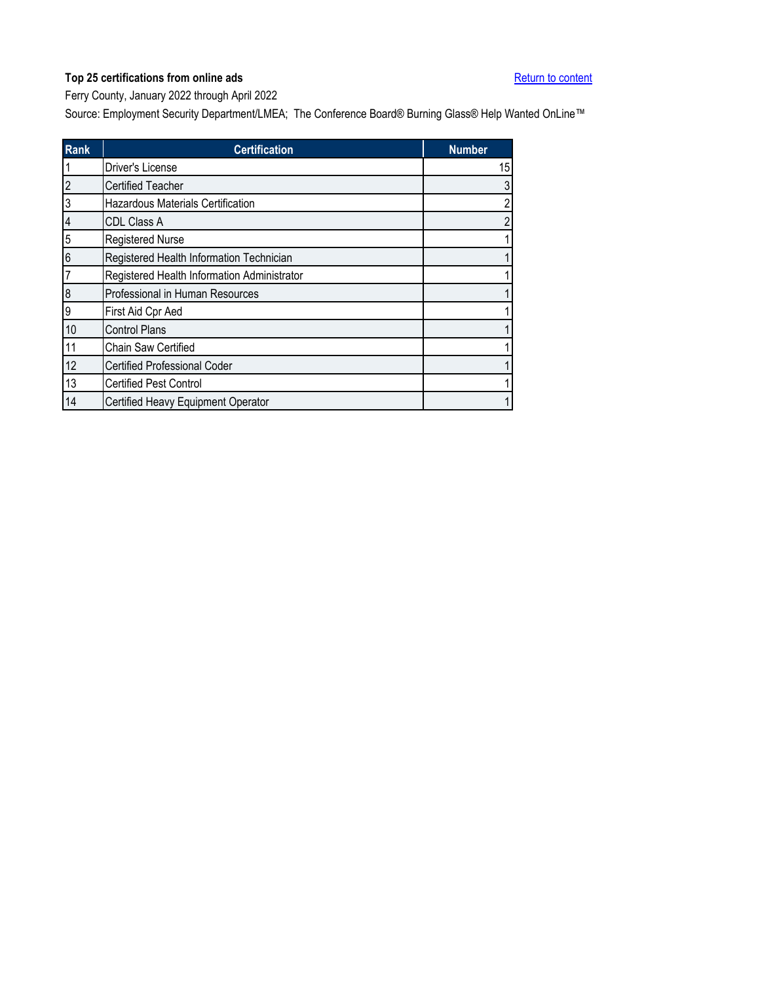<span id="page-11-0"></span>Ferry County, January 2022 through April 2022

| <b>Rank</b>    | <b>Certification</b>                        | <b>Number</b>  |
|----------------|---------------------------------------------|----------------|
|                | <b>Driver's License</b>                     | 15             |
| $\overline{c}$ | <b>Certified Teacher</b>                    | 3              |
| 3              | <b>Hazardous Materials Certification</b>    | $\overline{2}$ |
| $\overline{4}$ | <b>CDL Class A</b>                          | 2              |
| 5              | <b>Registered Nurse</b>                     |                |
| 6              | Registered Health Information Technician    |                |
|                | Registered Health Information Administrator |                |
| 8              | Professional in Human Resources             |                |
| 9              | First Aid Cpr Aed                           |                |
| 10             | <b>Control Plans</b>                        |                |
| 11             | Chain Saw Certified                         |                |
| 12             | <b>Certified Professional Coder</b>         |                |
| 13             | <b>Certified Pest Control</b>               |                |
| 14             | Certified Heavy Equipment Operator          |                |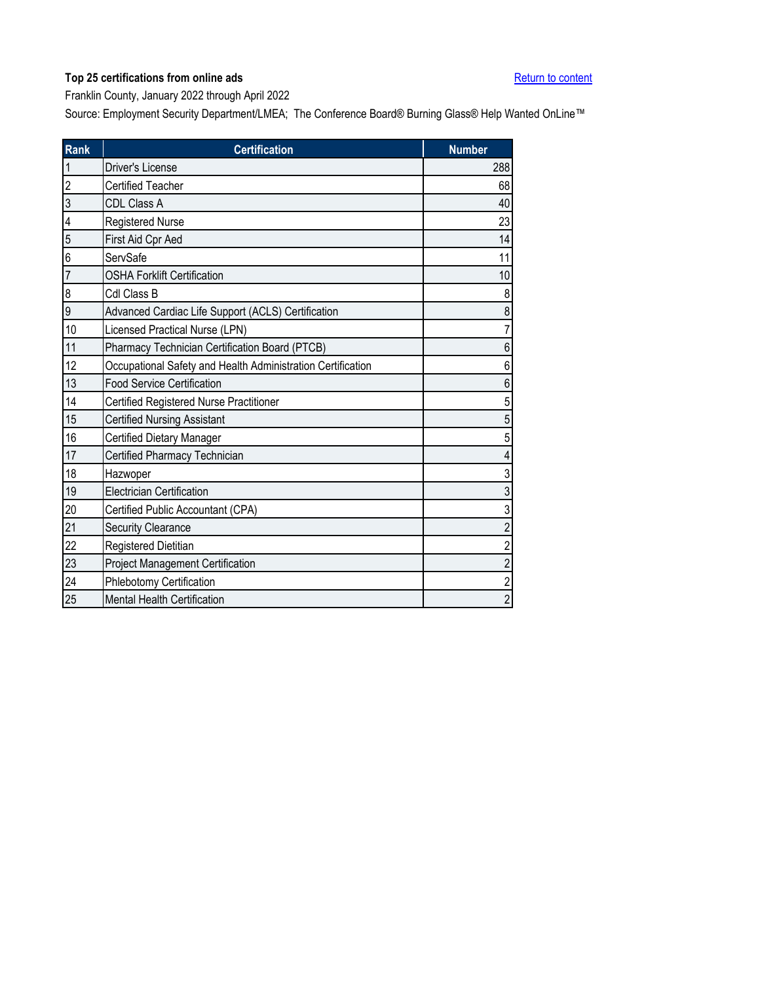<span id="page-12-0"></span>Franklin County, January 2022 through April 2022

| <b>Rank</b>    | <b>Certification</b>                                        | <b>Number</b>  |
|----------------|-------------------------------------------------------------|----------------|
| $\mathbf{1}$   | <b>Driver's License</b>                                     | 288            |
| $\overline{2}$ | <b>Certified Teacher</b>                                    | 68             |
| 3              | CDL Class A                                                 | 40             |
| 4              | Registered Nurse                                            | 23             |
| 5              | First Aid Cpr Aed                                           | 14             |
| 6              | ServSafe                                                    | 11             |
| $\overline{7}$ | <b>OSHA Forklift Certification</b>                          | 10             |
| 8              | Cdl Class B                                                 | 8              |
| 9              | Advanced Cardiac Life Support (ACLS) Certification          | 8              |
| 10             | Licensed Practical Nurse (LPN)                              | 7              |
| 11             | Pharmacy Technician Certification Board (PTCB)              | 6              |
| 12             | Occupational Safety and Health Administration Certification | 6              |
| 13             | <b>Food Service Certification</b>                           | 6              |
| 14             | Certified Registered Nurse Practitioner                     | 5              |
| 15             | <b>Certified Nursing Assistant</b>                          | 5              |
| 16             | <b>Certified Dietary Manager</b>                            | 5              |
| 17             | Certified Pharmacy Technician                               | 4              |
| 18             | Hazwoper                                                    | 3              |
| 19             | <b>Electrician Certification</b>                            | 3              |
| 20             | Certified Public Accountant (CPA)                           | 3              |
| 21             | Security Clearance                                          | $\overline{c}$ |
| 22             | Registered Dietitian                                        | 2              |
| 23             | Project Management Certification                            | $\overline{c}$ |
| 24             | Phlebotomy Certification                                    | $\overline{c}$ |
| 25             | <b>Mental Health Certification</b>                          | $\overline{2}$ |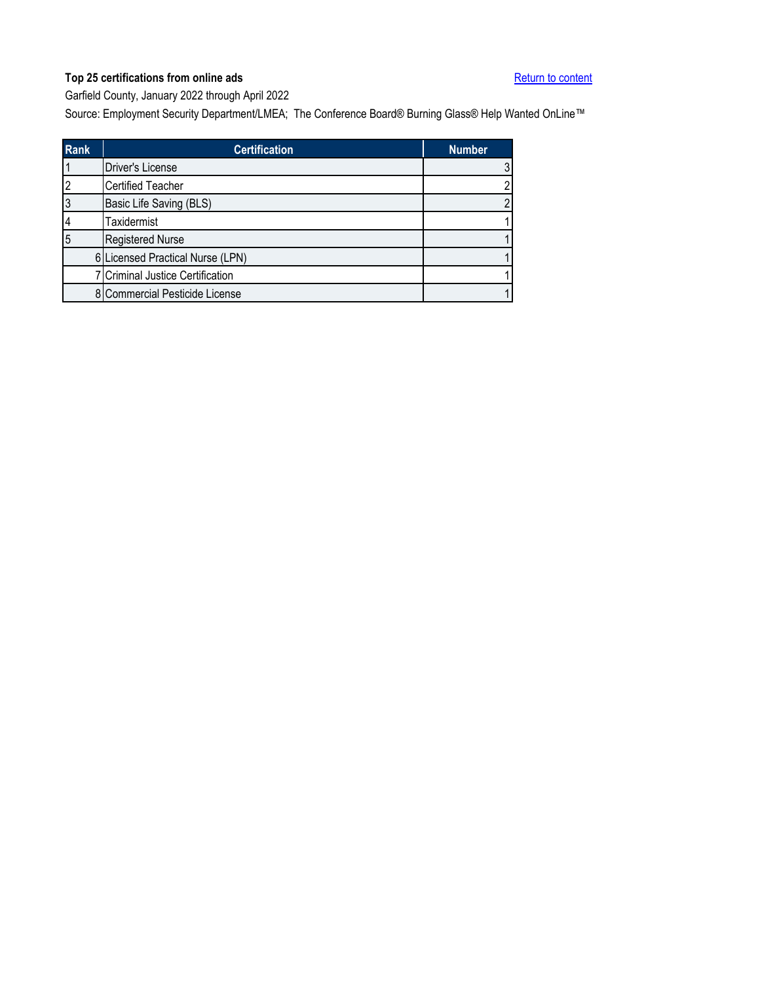<span id="page-13-0"></span>Garfield County, January 2022 through April 2022

| <b>Rank</b> | <b>Certification</b>             | <b>Number</b> |
|-------------|----------------------------------|---------------|
|             | Driver's License                 |               |
|             | <b>Certified Teacher</b>         |               |
|             | Basic Life Saving (BLS)          |               |
|             | Taxidermist                      |               |
| 5           | <b>Registered Nurse</b>          |               |
|             | 6 Licensed Practical Nurse (LPN) |               |
|             | 7 Criminal Justice Certification |               |
|             | 8 Commercial Pesticide License   |               |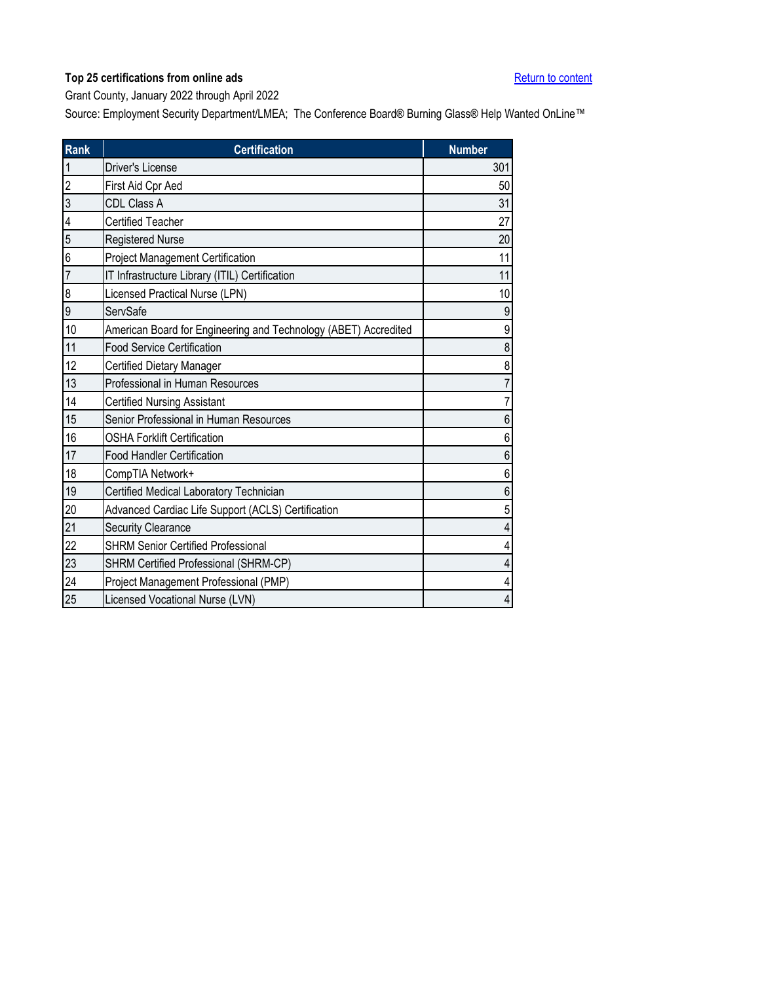<span id="page-14-0"></span>Grant County, January 2022 through April 2022

| Rank           | <b>Certification</b>                                            | <b>Number</b>  |
|----------------|-----------------------------------------------------------------|----------------|
| $\mathbf{1}$   | <b>Driver's License</b>                                         | 301            |
| $\overline{2}$ | First Aid Cpr Aed                                               | 50             |
| 3              | <b>CDL Class A</b>                                              | 31             |
| 4              | Certified Teacher                                               | 27             |
| 5              | Registered Nurse                                                | 20             |
| 6              | <b>Project Management Certification</b>                         | 11             |
| $\overline{7}$ | IT Infrastructure Library (ITIL) Certification                  | 11             |
| 8              | Licensed Practical Nurse (LPN)                                  | 10             |
| 9              | ServSafe                                                        | 9              |
| 10             | American Board for Engineering and Technology (ABET) Accredited | 9              |
| 11             | <b>Food Service Certification</b>                               | 8              |
| 12             | Certified Dietary Manager                                       | 8              |
| 13             | Professional in Human Resources                                 |                |
| 14             | <b>Certified Nursing Assistant</b>                              | $\overline{7}$ |
| 15             | Senior Professional in Human Resources                          | 6              |
| 16             | <b>OSHA Forklift Certification</b>                              | 6              |
| 17             | <b>Food Handler Certification</b>                               | 6              |
| 18             | CompTIA Network+                                                | 6              |
| 19             | Certified Medical Laboratory Technician                         | 6              |
| 20             | Advanced Cardiac Life Support (ACLS) Certification              | 5              |
| 21             | <b>Security Clearance</b>                                       | 4              |
| 22             | <b>SHRM Senior Certified Professional</b>                       | 4              |
| 23             | SHRM Certified Professional (SHRM-CP)                           | 4              |
| 24             | Project Management Professional (PMP)                           | 4              |
| 25             | Licensed Vocational Nurse (LVN)                                 | $\overline{4}$ |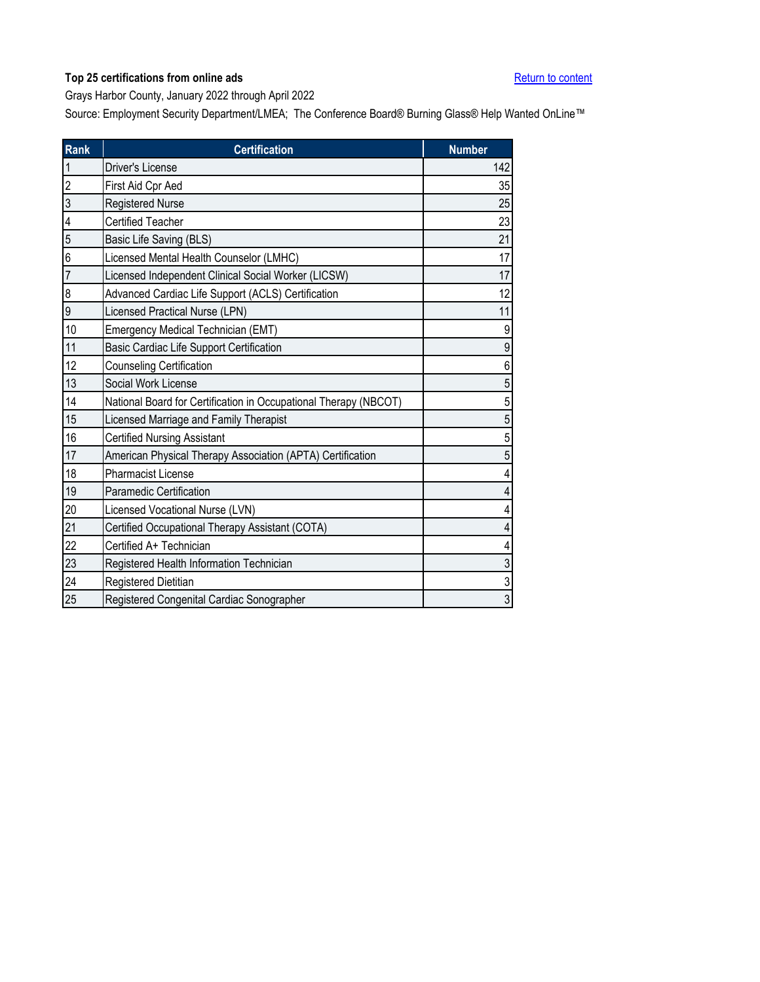<span id="page-15-0"></span>Grays Harbor County, January 2022 through April 2022

| <b>Rank</b>    | <b>Certification</b>                                             | <b>Number</b>  |
|----------------|------------------------------------------------------------------|----------------|
| $\mathbf{1}$   | Driver's License                                                 | 142            |
| $\overline{a}$ | First Aid Cpr Aed                                                | 35             |
| $\overline{3}$ | Registered Nurse                                                 | 25             |
| 4              | <b>Certified Teacher</b>                                         | 23             |
| 5              | Basic Life Saving (BLS)                                          | 21             |
| 6              | Licensed Mental Health Counselor (LMHC)                          | 17             |
| $\overline{7}$ | Licensed Independent Clinical Social Worker (LICSW)              | 17             |
| 8              | Advanced Cardiac Life Support (ACLS) Certification               | 12             |
| 9              | Licensed Practical Nurse (LPN)                                   | 11             |
| 10             | Emergency Medical Technician (EMT)                               | 9              |
| 11             | Basic Cardiac Life Support Certification                         | 9              |
| 12             | <b>Counseling Certification</b>                                  | 6              |
| 13             | Social Work License                                              | 5              |
| 14             | National Board for Certification in Occupational Therapy (NBCOT) | 5              |
| 15             | Licensed Marriage and Family Therapist                           | 5              |
| 16             | <b>Certified Nursing Assistant</b>                               | 5              |
| 17             | American Physical Therapy Association (APTA) Certification       | 5              |
| 18             | <b>Pharmacist License</b>                                        | 4              |
| 19             | <b>Paramedic Certification</b>                                   | 4              |
| 20             | Licensed Vocational Nurse (LVN)                                  | 4              |
| 21             | Certified Occupational Therapy Assistant (COTA)                  | 4              |
| 22             | Certified A+ Technician                                          |                |
| 23             | Registered Health Information Technician                         | $\mathfrak{S}$ |
| 24             | <b>Registered Dietitian</b>                                      | $\overline{3}$ |
| 25             | Registered Congenital Cardiac Sonographer                        | $\overline{3}$ |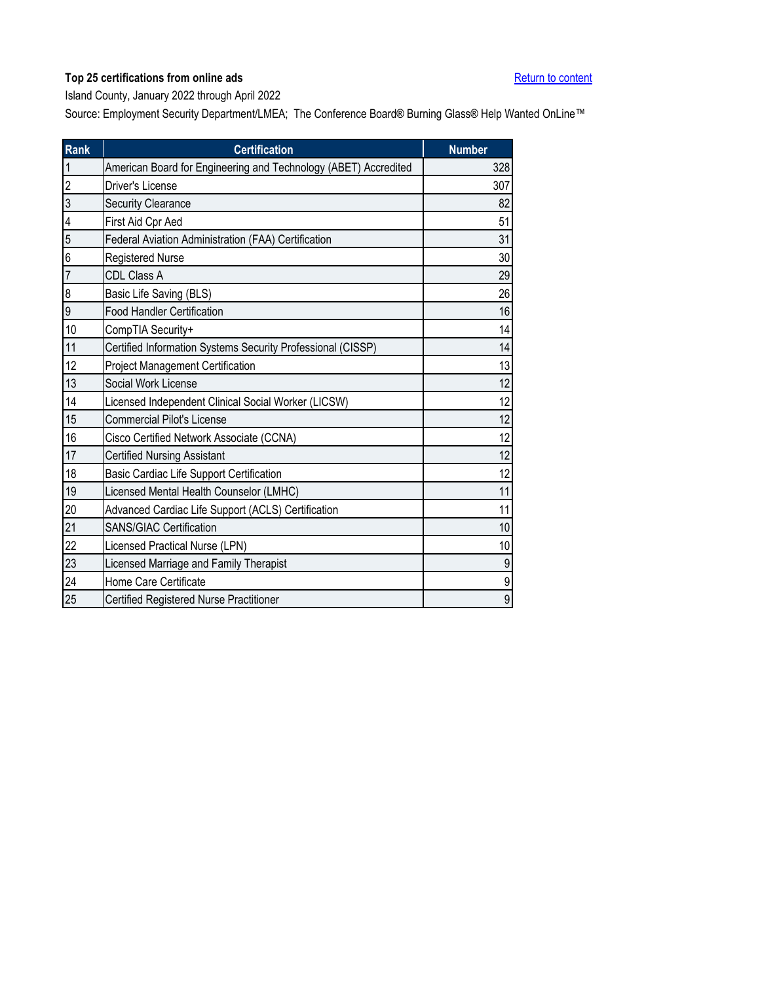<span id="page-16-0"></span>Island County, January 2022 through April 2022

| <b>Rank</b>    | <b>Certification</b>                                            | <b>Number</b>  |
|----------------|-----------------------------------------------------------------|----------------|
| $\mathbf{1}$   | American Board for Engineering and Technology (ABET) Accredited | 328            |
| $\overline{2}$ | Driver's License                                                | 307            |
| 3              | <b>Security Clearance</b>                                       | 82             |
| 4              | First Aid Cpr Aed                                               | 51             |
| 5              | Federal Aviation Administration (FAA) Certification             | 31             |
| 6              | <b>Registered Nurse</b>                                         | 30             |
| $\overline{7}$ | CDL Class A                                                     | 29             |
| 8              | Basic Life Saving (BLS)                                         | 26             |
| 9              | <b>Food Handler Certification</b>                               | 16             |
| 10             | CompTIA Security+                                               | 14             |
| 11             | Certified Information Systems Security Professional (CISSP)     | 14             |
| 12             | Project Management Certification                                | 13             |
| 13             | Social Work License                                             | 12             |
| 14             | Licensed Independent Clinical Social Worker (LICSW)             | 12             |
| 15             | <b>Commercial Pilot's License</b>                               | 12             |
| 16             | Cisco Certified Network Associate (CCNA)                        | 12             |
| 17             | <b>Certified Nursing Assistant</b>                              | 12             |
| 18             | Basic Cardiac Life Support Certification                        | 12             |
| 19             | Licensed Mental Health Counselor (LMHC)                         | 11             |
| 20             | Advanced Cardiac Life Support (ACLS) Certification              | 11             |
| 21             | <b>SANS/GIAC Certification</b>                                  | 10             |
| 22             | Licensed Practical Nurse (LPN)                                  | 10             |
| 23             | Licensed Marriage and Family Therapist                          | 9              |
| 24             | Home Care Certificate                                           | 9              |
| 25             | Certified Registered Nurse Practitioner                         | $\overline{9}$ |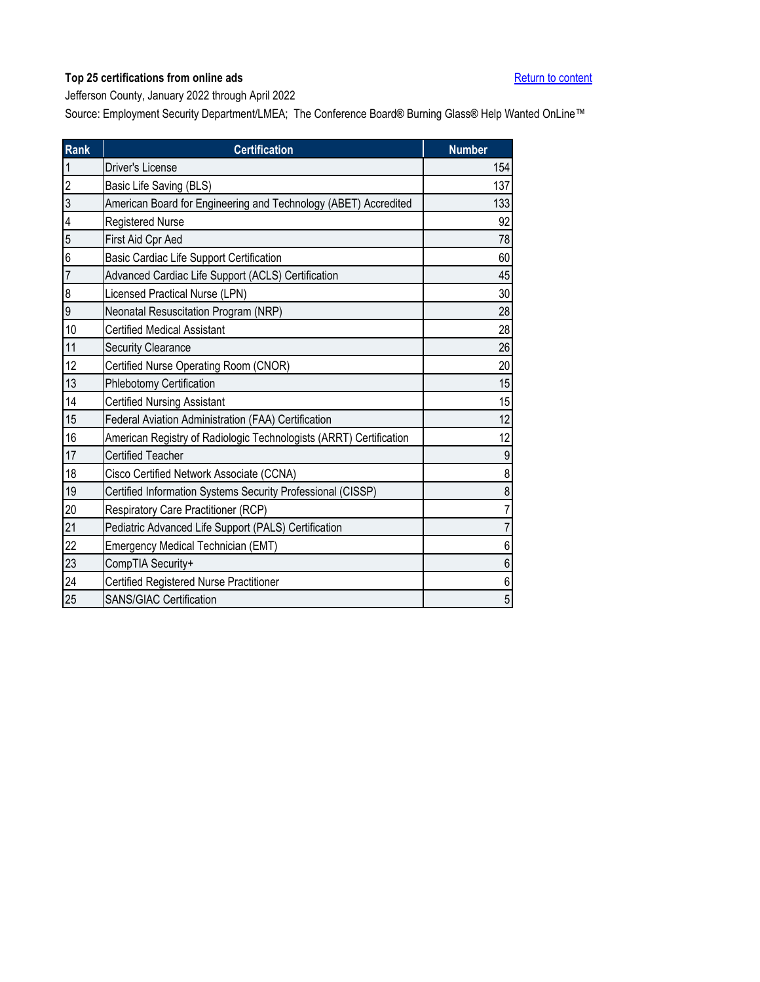<span id="page-17-0"></span>Jefferson County, January 2022 through April 2022

| <b>Rank</b>    | <b>Certification</b>                                               | <b>Number</b>  |
|----------------|--------------------------------------------------------------------|----------------|
| $\mathbf{1}$   | Driver's License                                                   | 154            |
| $\overline{2}$ | Basic Life Saving (BLS)                                            | 137            |
| 3              | American Board for Engineering and Technology (ABET) Accredited    | 133            |
| 4              | <b>Registered Nurse</b>                                            | 92             |
| 5              | First Aid Cpr Aed                                                  | 78             |
| 6              | Basic Cardiac Life Support Certification                           | 60             |
| $\overline{7}$ | Advanced Cardiac Life Support (ACLS) Certification                 | 45             |
| 8              | Licensed Practical Nurse (LPN)                                     | 30             |
| 9              | Neonatal Resuscitation Program (NRP)                               | 28             |
| 10             | <b>Certified Medical Assistant</b>                                 | 28             |
| 11             | <b>Security Clearance</b>                                          | 26             |
| 12             | Certified Nurse Operating Room (CNOR)                              | 20             |
| 13             | Phlebotomy Certification                                           | 15             |
| 14             | <b>Certified Nursing Assistant</b>                                 | 15             |
| 15             | Federal Aviation Administration (FAA) Certification                | 12             |
| 16             | American Registry of Radiologic Technologists (ARRT) Certification | 12             |
| 17             | <b>Certified Teacher</b>                                           | 9              |
| 18             | Cisco Certified Network Associate (CCNA)                           | 8              |
| 19             | Certified Information Systems Security Professional (CISSP)        | 8              |
| 20             | Respiratory Care Practitioner (RCP)                                |                |
| 21             | Pediatric Advanced Life Support (PALS) Certification               | $\overline{7}$ |
| 22             | Emergency Medical Technician (EMT)                                 | 6              |
| 23             | CompTIA Security+                                                  | 6              |
| 24             | Certified Registered Nurse Practitioner                            | 6              |
| 25             | <b>SANS/GIAC Certification</b>                                     | 5              |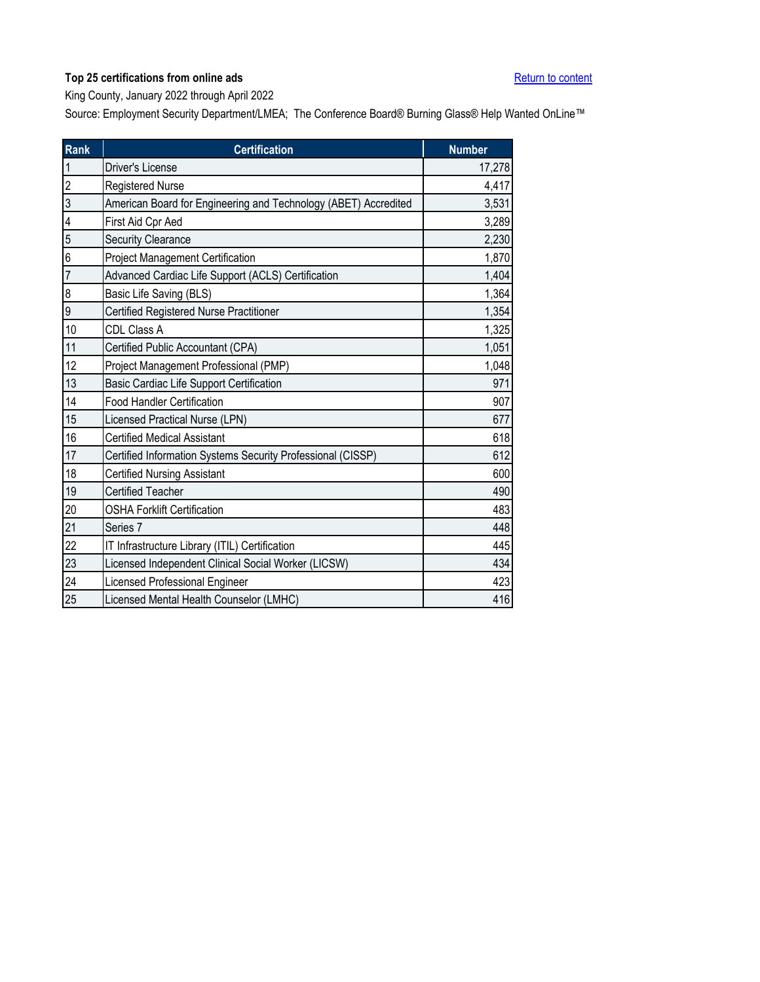<span id="page-18-0"></span>King County, January 2022 through April 2022

| <b>Rank</b>    | <b>Certification</b>                                            | <b>Number</b> |
|----------------|-----------------------------------------------------------------|---------------|
| $\mathbf{1}$   | Driver's License                                                | 17,278        |
| $\overline{c}$ | Registered Nurse                                                | 4,417         |
| $\overline{3}$ | American Board for Engineering and Technology (ABET) Accredited | 3,531         |
| 4              | First Aid Cpr Aed                                               | 3,289         |
| 5              | <b>Security Clearance</b>                                       | 2,230         |
| 6              | <b>Project Management Certification</b>                         | 1,870         |
| $\overline{7}$ | Advanced Cardiac Life Support (ACLS) Certification              | 1,404         |
| 8              | Basic Life Saving (BLS)                                         | 1,364         |
| 9              | Certified Registered Nurse Practitioner                         | 1,354         |
| 10             | CDL Class A                                                     | 1,325         |
| 11             | Certified Public Accountant (CPA)                               | 1,051         |
| 12             | Project Management Professional (PMP)                           | 1,048         |
| 13             | Basic Cardiac Life Support Certification                        | 971           |
| 14             | <b>Food Handler Certification</b>                               | 907           |
| 15             | Licensed Practical Nurse (LPN)                                  | 677           |
| 16             | <b>Certified Medical Assistant</b>                              | 618           |
| 17             | Certified Information Systems Security Professional (CISSP)     | 612           |
| 18             | <b>Certified Nursing Assistant</b>                              | 600           |
| 19             | <b>Certified Teacher</b>                                        | 490           |
| 20             | <b>OSHA Forklift Certification</b>                              | 483           |
| 21             | Series 7                                                        | 448           |
| 22             | IT Infrastructure Library (ITIL) Certification                  | 445           |
| 23             | Licensed Independent Clinical Social Worker (LICSW)             | 434           |
| 24             | Licensed Professional Engineer                                  | 423           |
| 25             | Licensed Mental Health Counselor (LMHC)                         | 416           |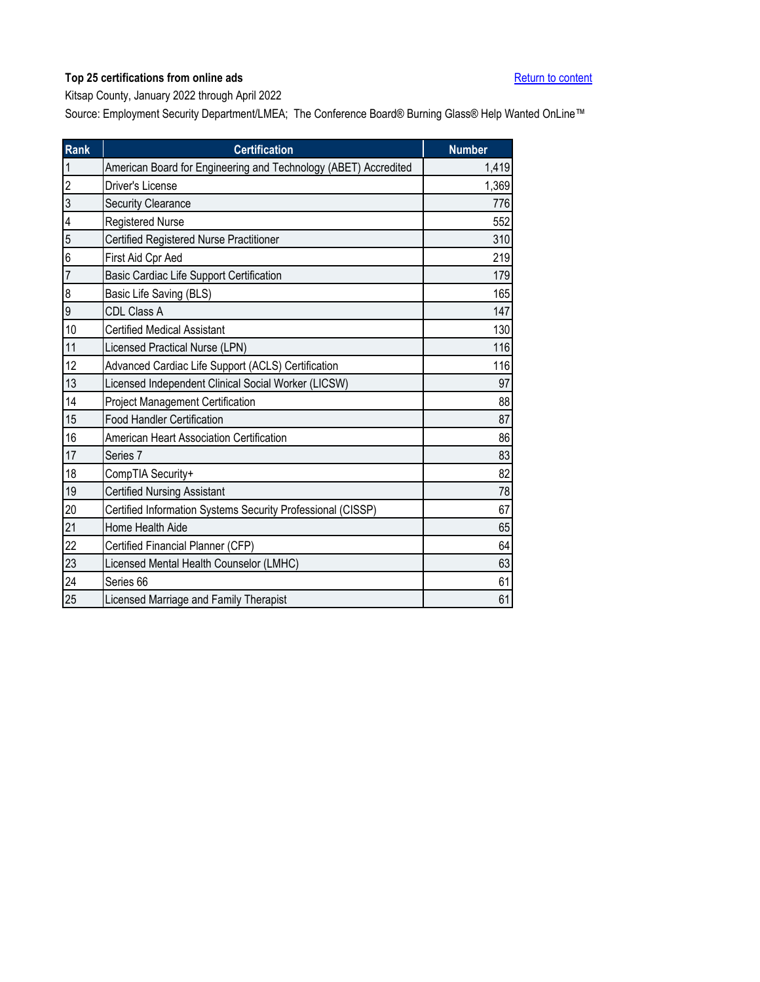<span id="page-19-0"></span>Kitsap County, January 2022 through April 2022

| <b>Rank</b>    | <b>Certification</b>                                            | <b>Number</b> |
|----------------|-----------------------------------------------------------------|---------------|
| $\mathbf{1}$   | American Board for Engineering and Technology (ABET) Accredited | 1,419         |
| $\overline{2}$ | Driver's License                                                | 1,369         |
| 3              | Security Clearance                                              | 776           |
| 4              | <b>Registered Nurse</b>                                         | 552           |
| 5              | Certified Registered Nurse Practitioner                         | 310           |
| 6              | First Aid Cpr Aed                                               | 219           |
| $\overline{7}$ | Basic Cardiac Life Support Certification                        | 179           |
| 8              | Basic Life Saving (BLS)                                         | 165           |
| 9              | CDL Class A                                                     | 147           |
| 10             | <b>Certified Medical Assistant</b>                              | 130           |
| 11             | Licensed Practical Nurse (LPN)                                  | 116           |
| 12             | Advanced Cardiac Life Support (ACLS) Certification              | 116           |
| 13             | Licensed Independent Clinical Social Worker (LICSW)             | 97            |
| 14             | Project Management Certification                                | 88            |
| 15             | <b>Food Handler Certification</b>                               | 87            |
| 16             | American Heart Association Certification                        | 86            |
| 17             | Series 7                                                        | 83            |
| 18             | CompTIA Security+                                               | 82            |
| 19             | <b>Certified Nursing Assistant</b>                              | 78            |
| 20             | Certified Information Systems Security Professional (CISSP)     | 67            |
| 21             | Home Health Aide                                                | 65            |
| 22             | Certified Financial Planner (CFP)                               | 64            |
| 23             | Licensed Mental Health Counselor (LMHC)                         | 63            |
| 24             | Series 66                                                       | 61            |
| 25             | Licensed Marriage and Family Therapist                          | 61            |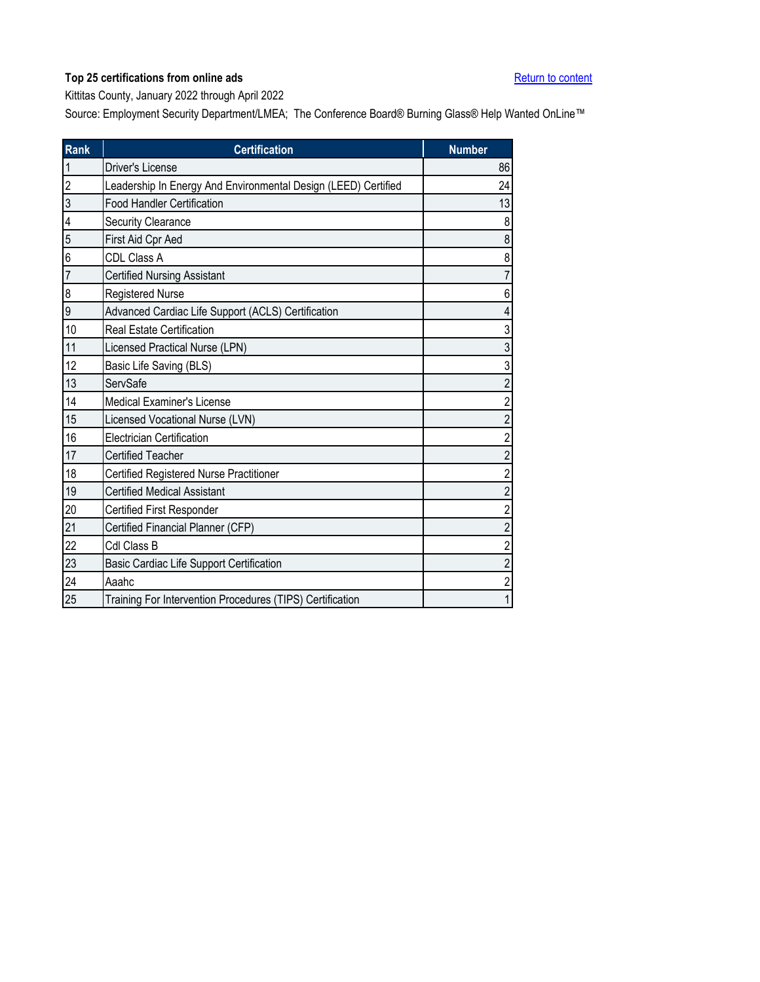<span id="page-20-0"></span>Kittitas County, January 2022 through April 2022

| <b>Rank</b>    | <b>Certification</b>                                           | <b>Number</b>  |
|----------------|----------------------------------------------------------------|----------------|
| 1              | Driver's License                                               | 86             |
| $\overline{c}$ | Leadership In Energy And Environmental Design (LEED) Certified | 24             |
| 3              | <b>Food Handler Certification</b>                              | 13             |
| 4              | Security Clearance                                             | 8              |
| 5              | First Aid Cpr Aed                                              | 8              |
| 6              | CDL Class A                                                    | 8              |
| 7              | <b>Certified Nursing Assistant</b>                             | 7              |
| 8              | Registered Nurse                                               | 6              |
| 9              | Advanced Cardiac Life Support (ACLS) Certification             | 4              |
| 10             | <b>Real Estate Certification</b>                               | 3              |
| 11             | Licensed Practical Nurse (LPN)                                 | 3              |
| 12             | Basic Life Saving (BLS)                                        | 3              |
| 13             | ServSafe                                                       | $\overline{2}$ |
| 14             | <b>Medical Examiner's License</b>                              | $\overline{c}$ |
| 15             | Licensed Vocational Nurse (LVN)                                | $\overline{2}$ |
| 16             | <b>Electrician Certification</b>                               | $\overline{c}$ |
| 17             | <b>Certified Teacher</b>                                       | $\overline{2}$ |
| 18             | Certified Registered Nurse Practitioner                        | $\overline{2}$ |
| 19             | <b>Certified Medical Assistant</b>                             | $\overline{2}$ |
| 20             | Certified First Responder                                      | $\overline{c}$ |
| 21             | Certified Financial Planner (CFP)                              | $\overline{c}$ |
| 22             | Cdl Class B                                                    | $\overline{2}$ |
| 23             | Basic Cardiac Life Support Certification                       | $\overline{2}$ |
| 24             | Aaahc                                                          | $\overline{2}$ |
| 25             | Training For Intervention Procedures (TIPS) Certification      | 1              |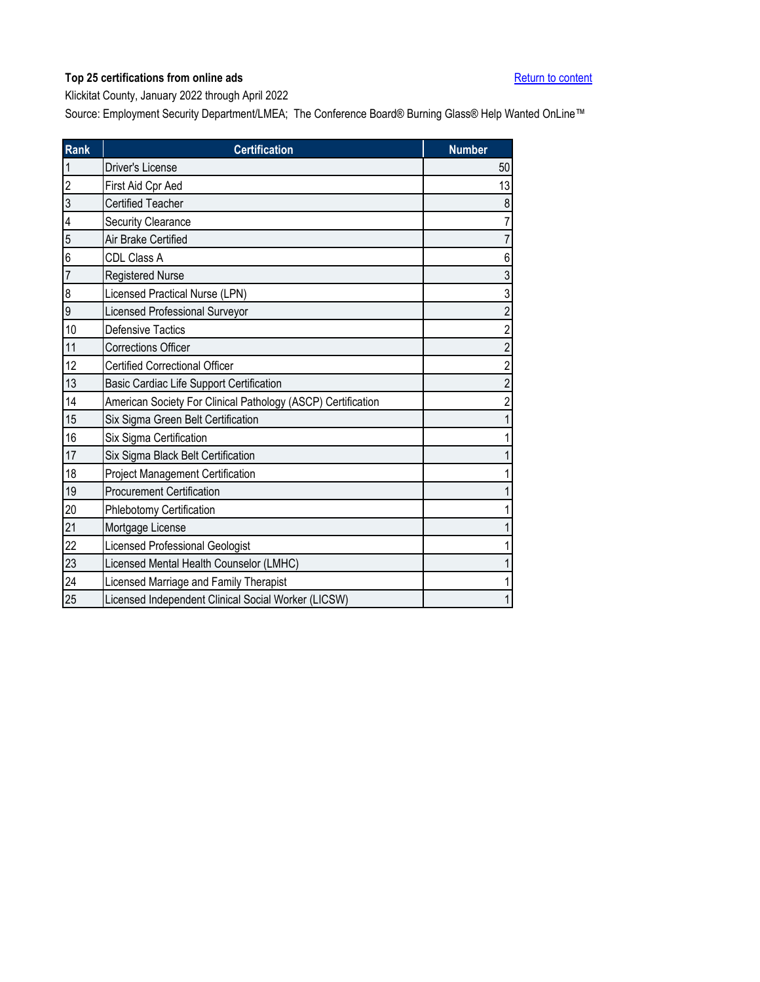<span id="page-21-0"></span>Klickitat County, January 2022 through April 2022

| <b>Rank</b>    | <b>Certification</b>                                         | <b>Number</b>  |
|----------------|--------------------------------------------------------------|----------------|
|                | Driver's License                                             | 50             |
| $\overline{c}$ | First Aid Cpr Aed                                            | 13             |
| 3              | <b>Certified Teacher</b>                                     | 8              |
| 4              | <b>Security Clearance</b>                                    | 7              |
| 5              | Air Brake Certified                                          |                |
| 6              | CDL Class A                                                  | 6              |
| 7              | <b>Registered Nurse</b>                                      | 3              |
| 8              | Licensed Practical Nurse (LPN)                               | 3              |
| 9              | Licensed Professional Surveyor                               | $\overline{2}$ |
| 10             | <b>Defensive Tactics</b>                                     | $\overline{2}$ |
| 11             | <b>Corrections Officer</b>                                   | $\overline{c}$ |
| 12             | <b>Certified Correctional Officer</b>                        | $\overline{2}$ |
| 13             | Basic Cardiac Life Support Certification                     | $\overline{2}$ |
| 14             | American Society For Clinical Pathology (ASCP) Certification | $\overline{c}$ |
| 15             | Six Sigma Green Belt Certification                           |                |
| 16             | Six Sigma Certification                                      |                |
| 17             | Six Sigma Black Belt Certification                           |                |
| 18             | <b>Project Management Certification</b>                      |                |
| 19             | <b>Procurement Certification</b>                             |                |
| 20             | Phlebotomy Certification                                     |                |
| 21             | Mortgage License                                             |                |
| 22             | Licensed Professional Geologist                              |                |
| 23             | Licensed Mental Health Counselor (LMHC)                      |                |
| 24             | Licensed Marriage and Family Therapist                       |                |
| 25             | Licensed Independent Clinical Social Worker (LICSW)          |                |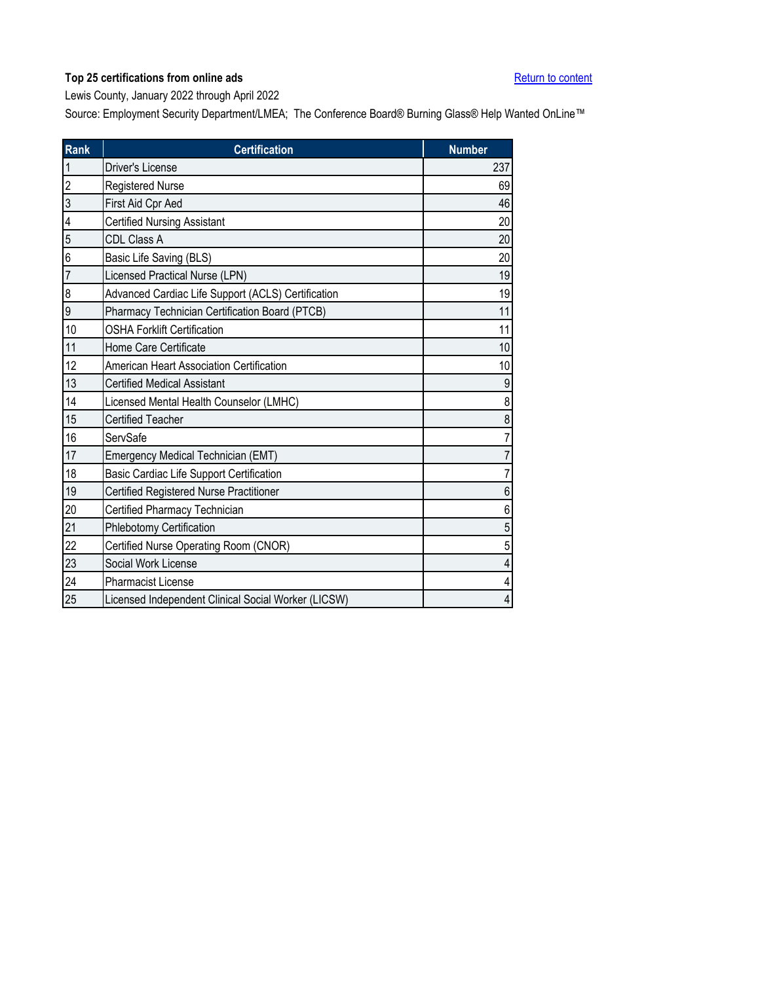<span id="page-22-0"></span>Lewis County, January 2022 through April 2022

| <b>Rank</b>    | <b>Certification</b>                                | <b>Number</b> |
|----------------|-----------------------------------------------------|---------------|
| $\mathbf{1}$   | <b>Driver's License</b>                             | 237           |
| $\overline{c}$ | <b>Registered Nurse</b>                             | 69            |
| 3              | First Aid Cpr Aed                                   | 46            |
| 4              | <b>Certified Nursing Assistant</b>                  | 20            |
| 5              | <b>CDL Class A</b>                                  | 20            |
| 6              | Basic Life Saving (BLS)                             | 20            |
| $\overline{7}$ | Licensed Practical Nurse (LPN)                      | 19            |
| 8              | Advanced Cardiac Life Support (ACLS) Certification  | 19            |
| 9              | Pharmacy Technician Certification Board (PTCB)      | 11            |
| 10             | <b>OSHA Forklift Certification</b>                  | 11            |
| 11             | Home Care Certificate                               | 10            |
| 12             | American Heart Association Certification            | 10            |
| 13             | <b>Certified Medical Assistant</b>                  | 9             |
| 14             | Licensed Mental Health Counselor (LMHC)             | 8             |
| 15             | <b>Certified Teacher</b>                            | 8             |
| 16             | ServSafe                                            | 7             |
| 17             | Emergency Medical Technician (EMT)                  | 7             |
| 18             | Basic Cardiac Life Support Certification            | 7             |
| 19             | Certified Registered Nurse Practitioner             | 6             |
| 20             | Certified Pharmacy Technician                       | 6             |
| 21             | Phlebotomy Certification                            | 5             |
| 22             | Certified Nurse Operating Room (CNOR)               | 5             |
| 23             | Social Work License                                 | 4             |
| 24             | <b>Pharmacist License</b>                           | 4             |
| 25             | Licensed Independent Clinical Social Worker (LICSW) | 4             |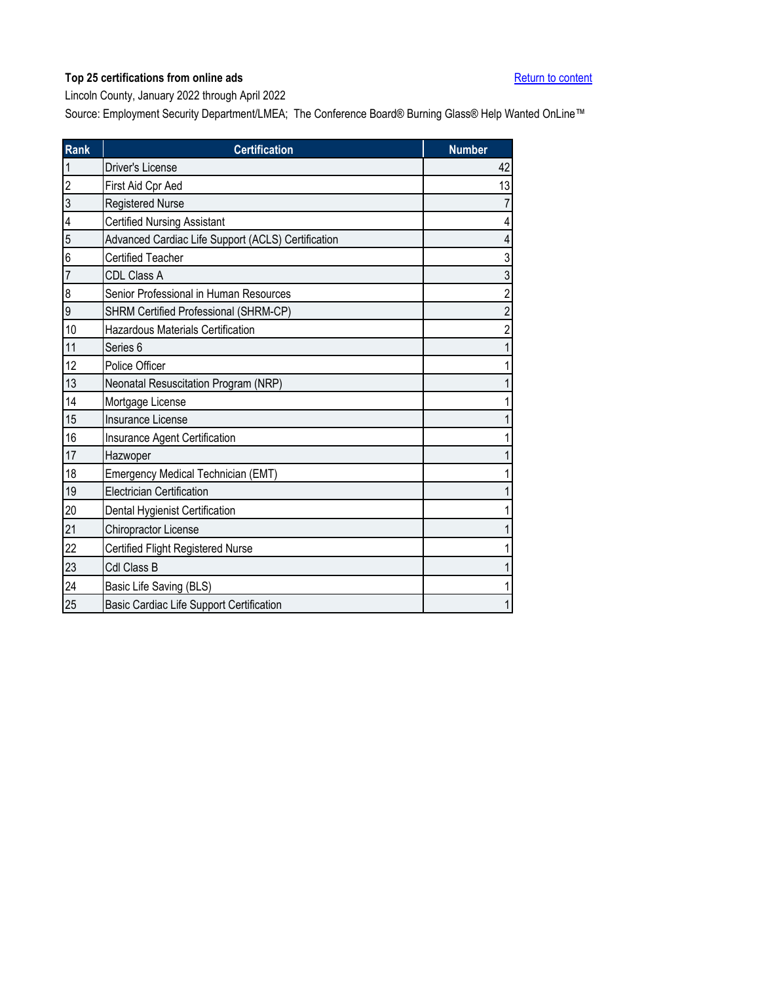<span id="page-23-0"></span>Lincoln County, January 2022 through April 2022

| <b>Rank</b>    | <b>Certification</b>                               | <b>Number</b>           |
|----------------|----------------------------------------------------|-------------------------|
| $\mathbf{1}$   | <b>Driver's License</b>                            | 42                      |
| $\overline{2}$ | First Aid Cpr Aed                                  | 13                      |
| 3              | <b>Registered Nurse</b>                            | $\overline{7}$          |
| 4              | <b>Certified Nursing Assistant</b>                 | 4                       |
| 5              | Advanced Cardiac Life Support (ACLS) Certification | $\overline{\mathbf{4}}$ |
| 6              | <b>Certified Teacher</b>                           | 3                       |
| $\overline{7}$ | CDL Class A                                        | $\mathfrak{S}$          |
| 8              | Senior Professional in Human Resources             | $\sqrt{2}$              |
| 9              | SHRM Certified Professional (SHRM-CP)              | $\overline{2}$          |
| 10             | Hazardous Materials Certification                  | $\overline{\mathbf{c}}$ |
| 11             | Series <sub>6</sub>                                | $\overline{1}$          |
| 12             | Police Officer                                     | $\mathbf 1$             |
| 13             | Neonatal Resuscitation Program (NRP)               | 1                       |
| 14             | Mortgage License                                   | 1                       |
| 15             | Insurance License                                  | 1                       |
| 16             | Insurance Agent Certification                      | 1                       |
| 17             | Hazwoper                                           | 1                       |
| 18             | Emergency Medical Technician (EMT)                 | 1                       |
| 19             | <b>Electrician Certification</b>                   | 1                       |
| 20             | Dental Hygienist Certification                     | 1                       |
| 21             | Chiropractor License                               | 1                       |
| 22             | Certified Flight Registered Nurse                  | 1                       |
| 23             | Cdl Class B                                        | $\mathbf 1$             |
| 24             | Basic Life Saving (BLS)                            | 1                       |
| 25             | Basic Cardiac Life Support Certification           | 1                       |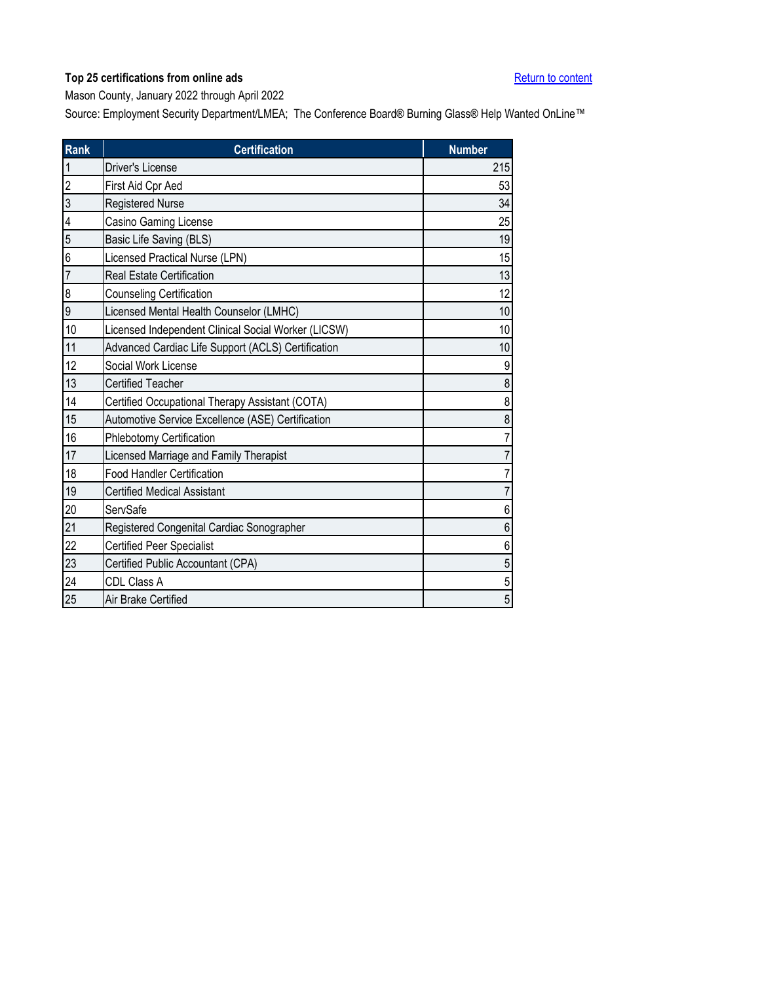<span id="page-24-0"></span>Mason County, January 2022 through April 2022

| <b>Rank</b>    | <b>Certification</b>                                | <b>Number</b>  |
|----------------|-----------------------------------------------------|----------------|
| 1              | Driver's License                                    | 215            |
| $\overline{c}$ | First Aid Cpr Aed                                   | 53             |
| 3              | <b>Registered Nurse</b>                             | 34             |
| 4              | Casino Gaming License                               | 25             |
| 5              | Basic Life Saving (BLS)                             | 19             |
| 6              | Licensed Practical Nurse (LPN)                      | 15             |
| 7              | <b>Real Estate Certification</b>                    | 13             |
| 8              | <b>Counseling Certification</b>                     | 12             |
| 9              | Licensed Mental Health Counselor (LMHC)             | 10             |
| 10             | Licensed Independent Clinical Social Worker (LICSW) | 10             |
| 11             | Advanced Cardiac Life Support (ACLS) Certification  | 10             |
| 12             | Social Work License                                 | 9              |
| 13             | Certified Teacher                                   | 8              |
| 14             | Certified Occupational Therapy Assistant (COTA)     | 8              |
| 15             | Automotive Service Excellence (ASE) Certification   | 8              |
| 16             | Phlebotomy Certification                            | $\overline{7}$ |
| 17             | Licensed Marriage and Family Therapist              | 7              |
| 18             | <b>Food Handler Certification</b>                   | 7              |
| 19             | <b>Certified Medical Assistant</b>                  | 7              |
| 20             | ServSafe                                            | 6              |
| 21             | Registered Congenital Cardiac Sonographer           | 6              |
| 22             | <b>Certified Peer Specialist</b>                    | 6              |
| 23             | Certified Public Accountant (CPA)                   | 5              |
| 24             | CDL Class A                                         | 5              |
| 25             | Air Brake Certified                                 | 5              |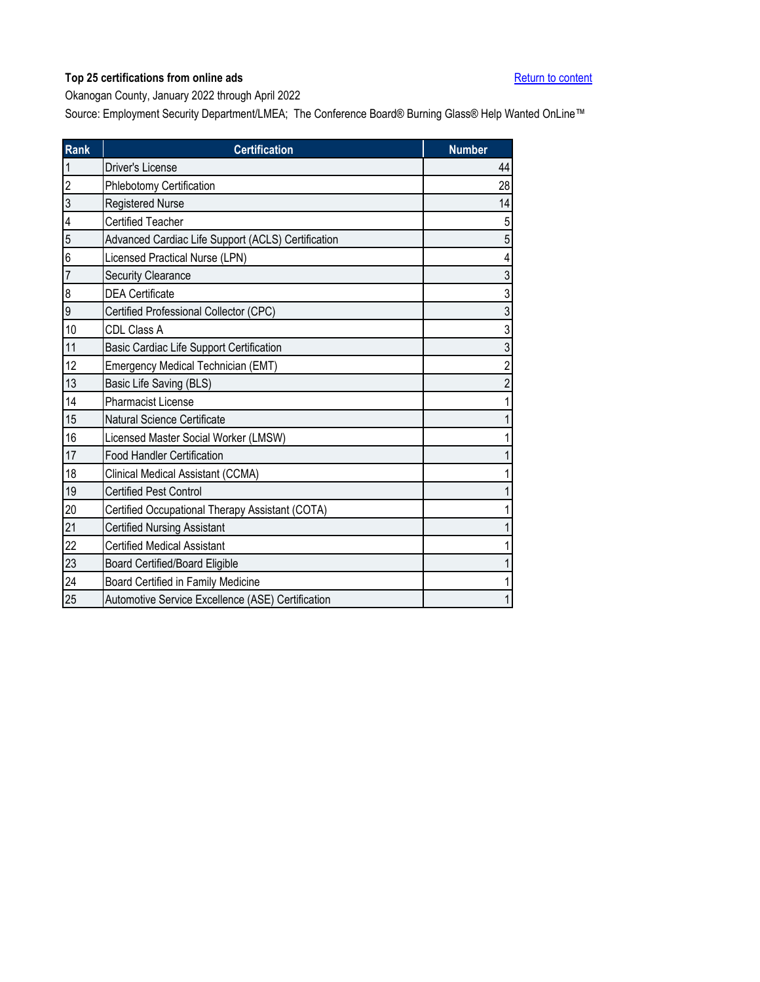<span id="page-25-0"></span>Okanogan County, January 2022 through April 2022

| <b>Rank</b>    | <b>Certification</b>                               | <b>Number</b>  |
|----------------|----------------------------------------------------|----------------|
| 1              | <b>Driver's License</b>                            | 44             |
| $\overline{c}$ | Phlebotomy Certification                           | 28             |
| 3              | <b>Registered Nurse</b>                            | 14             |
| 4              | <b>Certified Teacher</b>                           | 5              |
| 5              | Advanced Cardiac Life Support (ACLS) Certification | 5              |
| 6              | Licensed Practical Nurse (LPN)                     | 4              |
| $\overline{7}$ | <b>Security Clearance</b>                          | 3              |
| 8              | <b>DEA Certificate</b>                             | 3              |
| 9              | Certified Professional Collector (CPC)             | 3              |
| 10             | CDL Class A                                        | 3              |
| 11             | Basic Cardiac Life Support Certification           | 3              |
| 12             | Emergency Medical Technician (EMT)                 | $\overline{c}$ |
| 13             | Basic Life Saving (BLS)                            | 2              |
| 14             | <b>Pharmacist License</b>                          |                |
| 15             | Natural Science Certificate                        |                |
| 16             | Licensed Master Social Worker (LMSW)               |                |
| 17             | <b>Food Handler Certification</b>                  |                |
| 18             | <b>Clinical Medical Assistant (CCMA)</b>           |                |
| 19             | <b>Certified Pest Control</b>                      |                |
| 20             | Certified Occupational Therapy Assistant (COTA)    |                |
| 21             | <b>Certified Nursing Assistant</b>                 |                |
| 22             | <b>Certified Medical Assistant</b>                 |                |
| 23             | <b>Board Certified/Board Eligible</b>              |                |
| 24             | Board Certified in Family Medicine                 |                |
| 25             | Automotive Service Excellence (ASE) Certification  |                |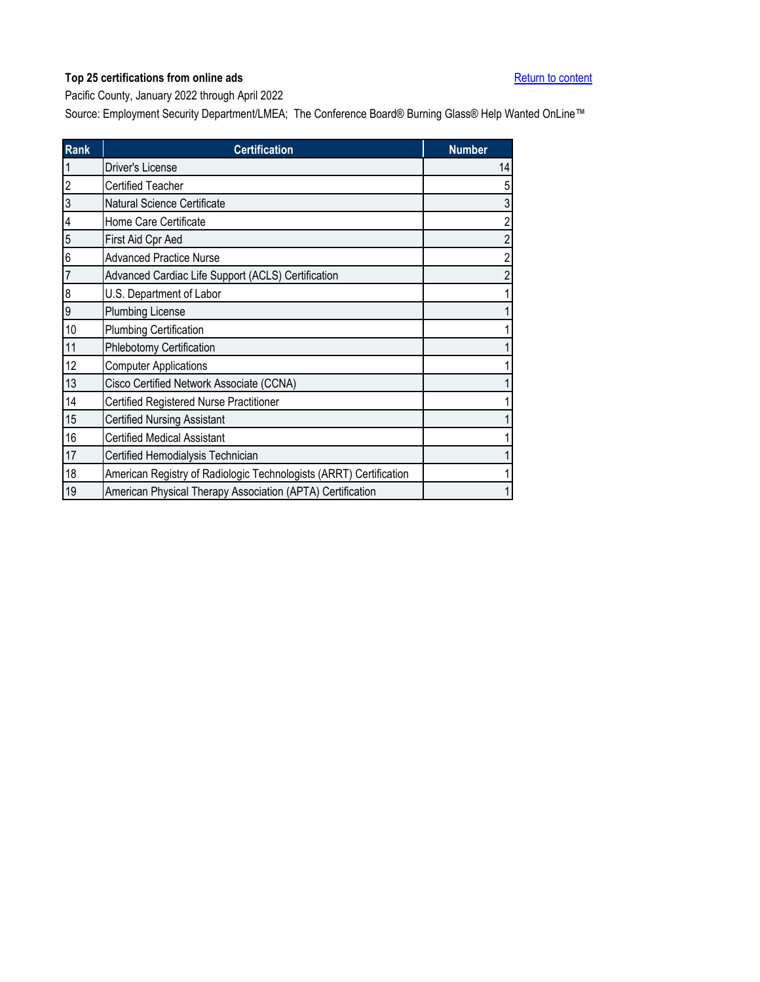<span id="page-26-0"></span>Pacific County, January 2022 through April 2022

| <b>Rank</b>    | <b>Certification</b>                                               | <b>Number</b>           |
|----------------|--------------------------------------------------------------------|-------------------------|
|                | Driver's License                                                   | 14                      |
| $\overline{c}$ | <b>Certified Teacher</b>                                           | 5                       |
| 3              | Natural Science Certificate                                        | $\sqrt{3}$              |
| 4              | Home Care Certificate                                              | $\overline{c}$          |
| 5              | First Aid Cpr Aed                                                  | $\overline{\mathbf{c}}$ |
| 6              | <b>Advanced Practice Nurse</b>                                     | $\overline{\mathbf{c}}$ |
| $\overline{7}$ | Advanced Cardiac Life Support (ACLS) Certification                 | $\overline{\mathbf{c}}$ |
| 8              | U.S. Department of Labor                                           | 1                       |
| 9              | Plumbing License                                                   | 1                       |
| 10             | <b>Plumbing Certification</b>                                      | 1                       |
| 11             | Phlebotomy Certification                                           | 1                       |
| 12             | <b>Computer Applications</b>                                       | 1                       |
| 13             | Cisco Certified Network Associate (CCNA)                           | 1                       |
| 14             | Certified Registered Nurse Practitioner                            | 1                       |
| 15             | <b>Certified Nursing Assistant</b>                                 | 1                       |
| 16             | <b>Certified Medical Assistant</b>                                 | 1                       |
| 17             | Certified Hemodialysis Technician                                  | 1                       |
| 18             | American Registry of Radiologic Technologists (ARRT) Certification | 1                       |
| 19             | American Physical Therapy Association (APTA) Certification         | 1                       |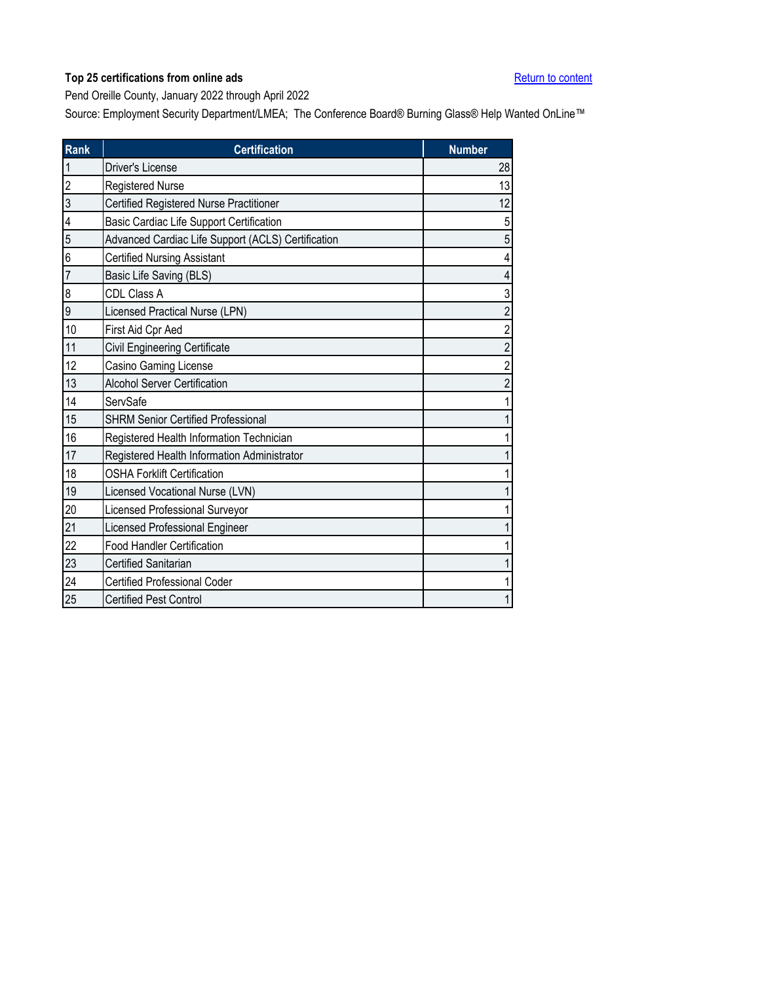<span id="page-27-0"></span>Pend Oreille County, January 2022 through April 2022

| <b>Rank</b>    | <b>Certification</b>                               | <b>Number</b>  |
|----------------|----------------------------------------------------|----------------|
| 1              | Driver's License                                   | 28             |
| $\overline{c}$ | Registered Nurse                                   | 13             |
| 3              | Certified Registered Nurse Practitioner            | 12             |
| 4              | Basic Cardiac Life Support Certification           | 5              |
| 5              | Advanced Cardiac Life Support (ACLS) Certification | 5              |
| 6              | <b>Certified Nursing Assistant</b>                 | 4              |
| $\overline{7}$ | Basic Life Saving (BLS)                            | 4              |
| 8              | CDL Class A                                        | 3              |
| 9              | <b>Licensed Practical Nurse (LPN)</b>              | $\overline{2}$ |
| 10             | First Aid Cpr Aed                                  | $\overline{2}$ |
| 11             | Civil Engineering Certificate                      | $\overline{2}$ |
| 12             | Casino Gaming License                              | $\overline{2}$ |
| 13             | <b>Alcohol Server Certification</b>                | 2              |
| 14             | ServSafe                                           |                |
| 15             | <b>SHRM Senior Certified Professional</b>          |                |
| 16             | Registered Health Information Technician           |                |
| 17             | Registered Health Information Administrator        |                |
| 18             | <b>OSHA Forklift Certification</b>                 |                |
| 19             | Licensed Vocational Nurse (LVN)                    |                |
| 20             | Licensed Professional Surveyor                     |                |
| 21             | <b>Licensed Professional Engineer</b>              |                |
| 22             | <b>Food Handler Certification</b>                  |                |
| 23             | <b>Certified Sanitarian</b>                        |                |
| 24             | <b>Certified Professional Coder</b>                |                |
| 25             | <b>Certified Pest Control</b>                      |                |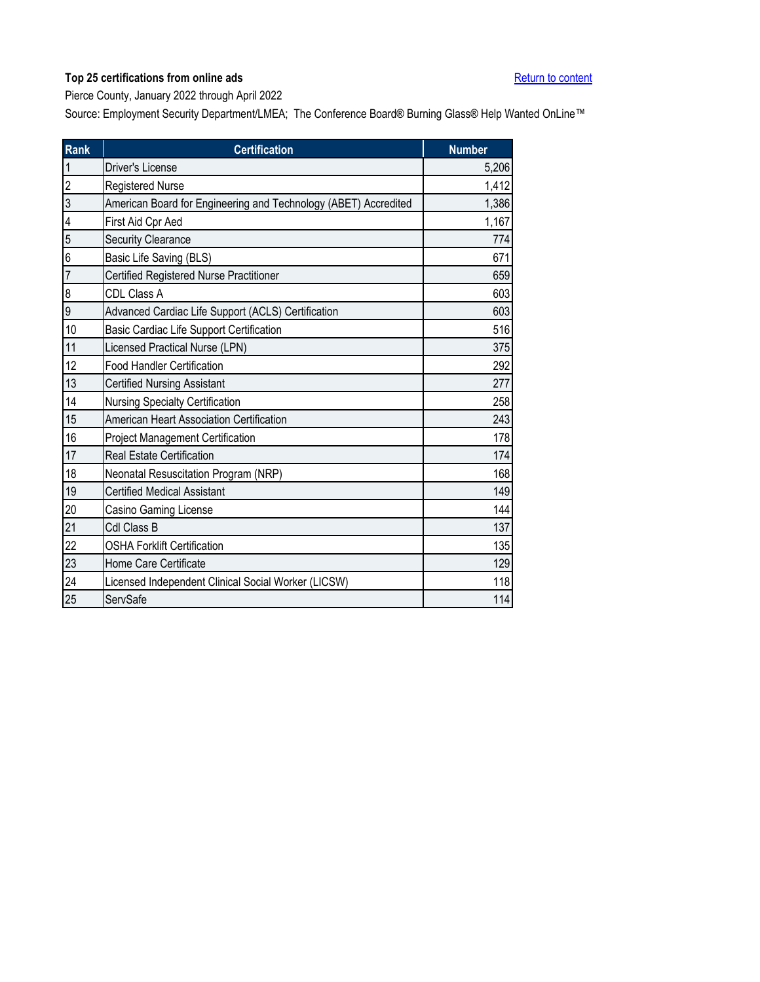<span id="page-28-0"></span>Pierce County, January 2022 through April 2022

| <b>Rank</b>    | <b>Certification</b>                                            | <b>Number</b> |
|----------------|-----------------------------------------------------------------|---------------|
| $\mathbf{1}$   | Driver's License                                                | 5,206         |
| $\overline{c}$ | Registered Nurse                                                | 1,412         |
| $\overline{3}$ | American Board for Engineering and Technology (ABET) Accredited | 1,386         |
| 4              | First Aid Cpr Aed                                               | 1,167         |
| 5              | <b>Security Clearance</b>                                       | 774           |
| 6              | Basic Life Saving (BLS)                                         | 671           |
| $\overline{7}$ | Certified Registered Nurse Practitioner                         | 659           |
| 8              | CDL Class A                                                     | 603           |
| 9              | Advanced Cardiac Life Support (ACLS) Certification              | 603           |
| 10             | Basic Cardiac Life Support Certification                        | 516           |
| 11             | Licensed Practical Nurse (LPN)                                  | 375           |
| 12             | <b>Food Handler Certification</b>                               | 292           |
| 13             | <b>Certified Nursing Assistant</b>                              | 277           |
| 14             | <b>Nursing Specialty Certification</b>                          | 258           |
| 15             | American Heart Association Certification                        | 243           |
| 16             | <b>Project Management Certification</b>                         | 178           |
| 17             | <b>Real Estate Certification</b>                                | 174           |
| 18             | Neonatal Resuscitation Program (NRP)                            | 168           |
| 19             | <b>Certified Medical Assistant</b>                              | 149           |
| 20             | Casino Gaming License                                           | 144           |
| 21             | Cdl Class B                                                     | 137           |
| 22             | <b>OSHA Forklift Certification</b>                              | 135           |
| 23             | Home Care Certificate                                           | 129           |
| 24             | Licensed Independent Clinical Social Worker (LICSW)             | 118           |
| 25             | ServSafe                                                        | 114           |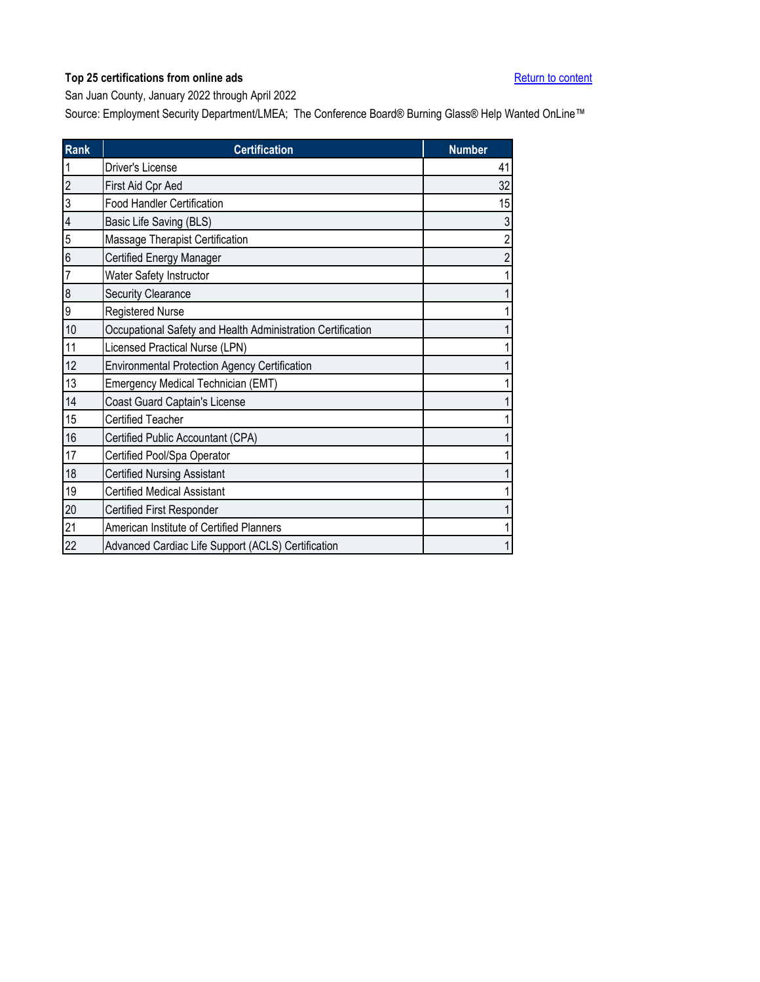<span id="page-29-0"></span>San Juan County, January 2022 through April 2022

| <b>Rank</b>              | <b>Certification</b>                                        | <b>Number</b>           |
|--------------------------|-------------------------------------------------------------|-------------------------|
|                          | Driver's License                                            | 41                      |
| $\overline{2}$           | First Aid Cpr Aed                                           | 32                      |
| 3                        | <b>Food Handler Certification</b>                           | 15                      |
| $\overline{\mathcal{L}}$ | Basic Life Saving (BLS)                                     | $\sqrt{3}$              |
| 5                        | Massage Therapist Certification                             | $\overline{\mathbf{c}}$ |
| 6                        | Certified Energy Manager                                    | $\sqrt{2}$              |
| $\overline{7}$           | Water Safety Instructor                                     | 1                       |
| $\boldsymbol{8}$         | <b>Security Clearance</b>                                   | 1                       |
| 9                        | Registered Nurse                                            | 1                       |
| 10                       | Occupational Safety and Health Administration Certification |                         |
| 11                       | Licensed Practical Nurse (LPN)                              |                         |
| 12                       | Environmental Protection Agency Certification               | 1                       |
| 13                       | Emergency Medical Technician (EMT)                          |                         |
| 14                       | Coast Guard Captain's License                               |                         |
| 15                       | <b>Certified Teacher</b>                                    |                         |
| 16                       | Certified Public Accountant (CPA)                           |                         |
| 17                       | Certified Pool/Spa Operator                                 | 1                       |
| 18                       | <b>Certified Nursing Assistant</b>                          |                         |
| 19                       | <b>Certified Medical Assistant</b>                          | 1                       |
| 20                       | Certified First Responder                                   |                         |
| 21                       | American Institute of Certified Planners                    | 1                       |
| 22                       | Advanced Cardiac Life Support (ACLS) Certification          | 1                       |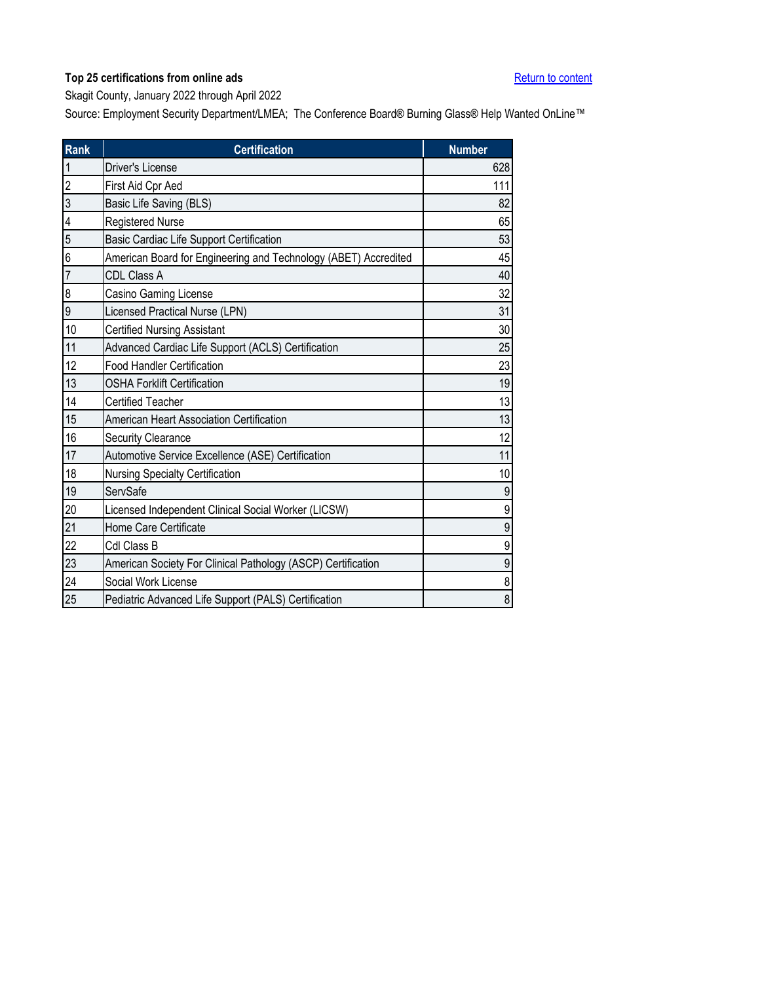<span id="page-30-0"></span>Skagit County, January 2022 through April 2022

| <b>Rank</b>    | <b>Certification</b>                                            | <b>Number</b>    |
|----------------|-----------------------------------------------------------------|------------------|
| $\mathbf{1}$   | Driver's License                                                | 628              |
| $\overline{2}$ | First Aid Cpr Aed                                               | 111              |
| 3              | Basic Life Saving (BLS)                                         | 82               |
| 4              | <b>Registered Nurse</b>                                         | 65               |
| 5              | Basic Cardiac Life Support Certification                        | 53               |
| 6              | American Board for Engineering and Technology (ABET) Accredited | 45               |
| $\overline{7}$ | CDL Class A                                                     | 40               |
| 8              | Casino Gaming License                                           | 32               |
| 9              | <b>Licensed Practical Nurse (LPN)</b>                           | 31               |
| 10             | <b>Certified Nursing Assistant</b>                              | 30               |
| 11             | Advanced Cardiac Life Support (ACLS) Certification              | 25               |
| 12             | <b>Food Handler Certification</b>                               | 23               |
| 13             | <b>OSHA Forklift Certification</b>                              | 19               |
| 14             | <b>Certified Teacher</b>                                        | 13               |
| 15             | American Heart Association Certification                        | 13               |
| $16$           | <b>Security Clearance</b>                                       | 12               |
| 17             | Automotive Service Excellence (ASE) Certification               | 11               |
| 18             | Nursing Specialty Certification                                 | 10               |
| 19             | ServSafe                                                        | 9                |
| 20             | Licensed Independent Clinical Social Worker (LICSW)             | 9                |
| 21             | Home Care Certificate                                           | $\boldsymbol{9}$ |
| 22             | Cdl Class B                                                     | 9                |
| 23             | American Society For Clinical Pathology (ASCP) Certification    | 9                |
| 24             | Social Work License                                             | 8                |
| 25             | Pediatric Advanced Life Support (PALS) Certification            | 8                |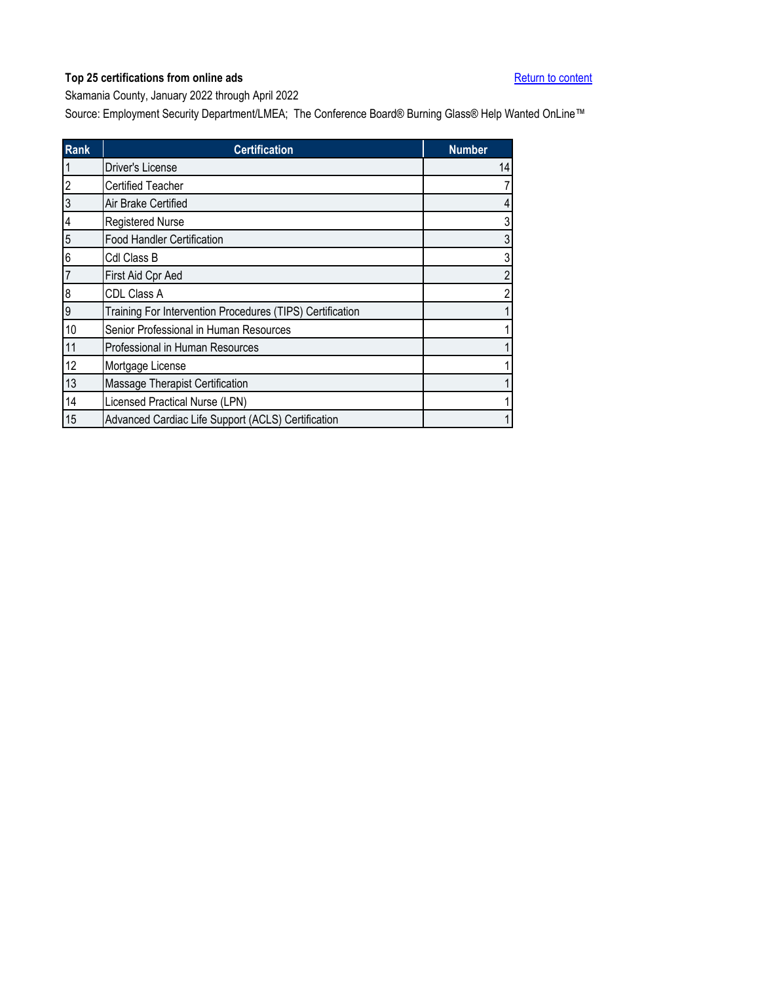<span id="page-31-0"></span>Skamania County, January 2022 through April 2022

| <b>Rank</b>             | <b>Certification</b>                                      | <b>Number</b>  |
|-------------------------|-----------------------------------------------------------|----------------|
|                         | Driver's License                                          | 14             |
| $\overline{\mathbf{c}}$ | <b>Certified Teacher</b>                                  | 7              |
| 3                       | Air Brake Certified                                       | $\overline{4}$ |
| $\overline{4}$          | <b>Registered Nurse</b>                                   | 3              |
| 5                       | Food Handler Certification                                | 3              |
| 6                       | Cdl Class B                                               | 3              |
| $\overline{7}$          | First Aid Cpr Aed                                         | $\overline{c}$ |
| 8                       | <b>CDL Class A</b>                                        | $\overline{c}$ |
| 9                       | Training For Intervention Procedures (TIPS) Certification | 1,             |
| 10                      | Senior Professional in Human Resources                    | 1              |
| 11                      | Professional in Human Resources                           | 1              |
| 12                      | Mortgage License                                          |                |
| 13                      | Massage Therapist Certification                           | 1              |
| 14                      | Licensed Practical Nurse (LPN)                            | 1              |
| 15                      | Advanced Cardiac Life Support (ACLS) Certification        | 1              |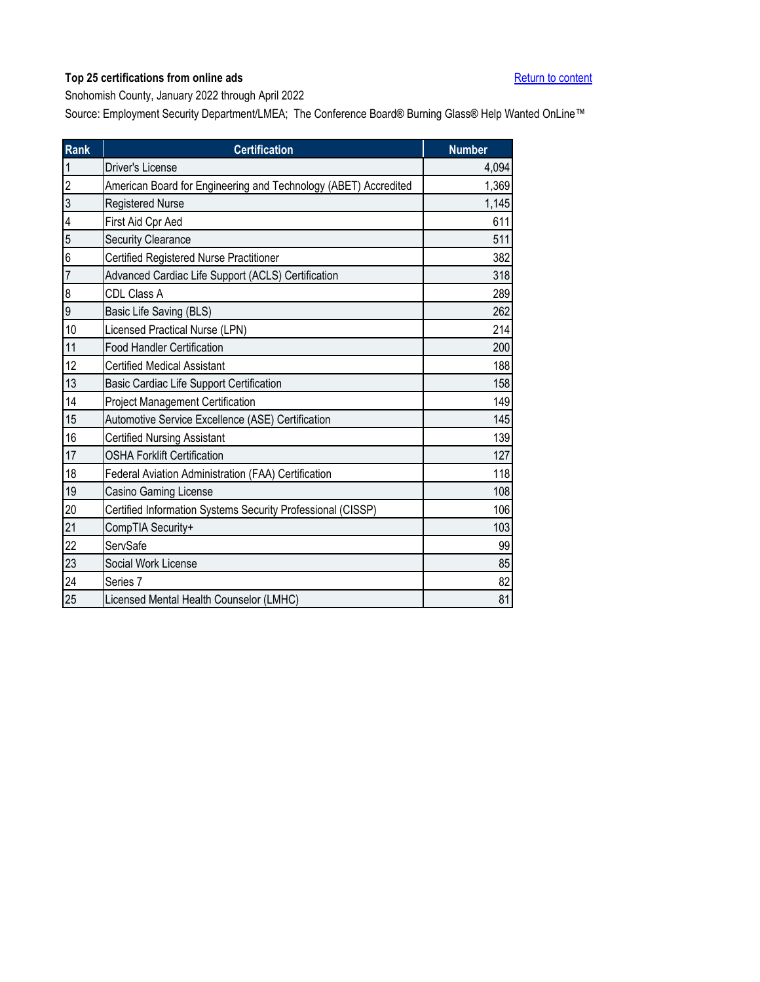<span id="page-32-0"></span>Snohomish County, January 2022 through April 2022

| <b>Rank</b>             | <b>Certification</b>                                            | <b>Number</b> |
|-------------------------|-----------------------------------------------------------------|---------------|
| $\overline{1}$          | Driver's License                                                | 4,094         |
| $\overline{2}$          | American Board for Engineering and Technology (ABET) Accredited | 1,369         |
| 3                       | <b>Registered Nurse</b>                                         | 1,145         |
| $\overline{\mathbf{4}}$ | First Aid Cpr Aed                                               | 611           |
| 5                       | <b>Security Clearance</b>                                       | 511           |
| 6                       | Certified Registered Nurse Practitioner                         | 382           |
| $\overline{7}$          | Advanced Cardiac Life Support (ACLS) Certification              | 318           |
| $\boldsymbol{8}$        | CDL Class A                                                     | 289           |
| 9                       | Basic Life Saving (BLS)                                         | 262           |
| 10                      | Licensed Practical Nurse (LPN)                                  | 214           |
| 11                      | <b>Food Handler Certification</b>                               | 200           |
| 12                      | <b>Certified Medical Assistant</b>                              | 188           |
| 13                      | Basic Cardiac Life Support Certification                        | 158           |
| 14                      | Project Management Certification                                | 149           |
| 15                      | Automotive Service Excellence (ASE) Certification               | 145           |
| 16                      | <b>Certified Nursing Assistant</b>                              | 139           |
| 17                      | <b>OSHA Forklift Certification</b>                              | 127           |
| 18                      | Federal Aviation Administration (FAA) Certification             | 118           |
| 19                      | Casino Gaming License                                           | 108           |
| 20                      | Certified Information Systems Security Professional (CISSP)     | 106           |
| 21                      | CompTIA Security+                                               | 103           |
| 22                      | ServSafe                                                        | 99            |
| 23                      | Social Work License                                             | 85            |
| 24                      | Series 7                                                        | 82            |
| 25                      | Licensed Mental Health Counselor (LMHC)                         | 81            |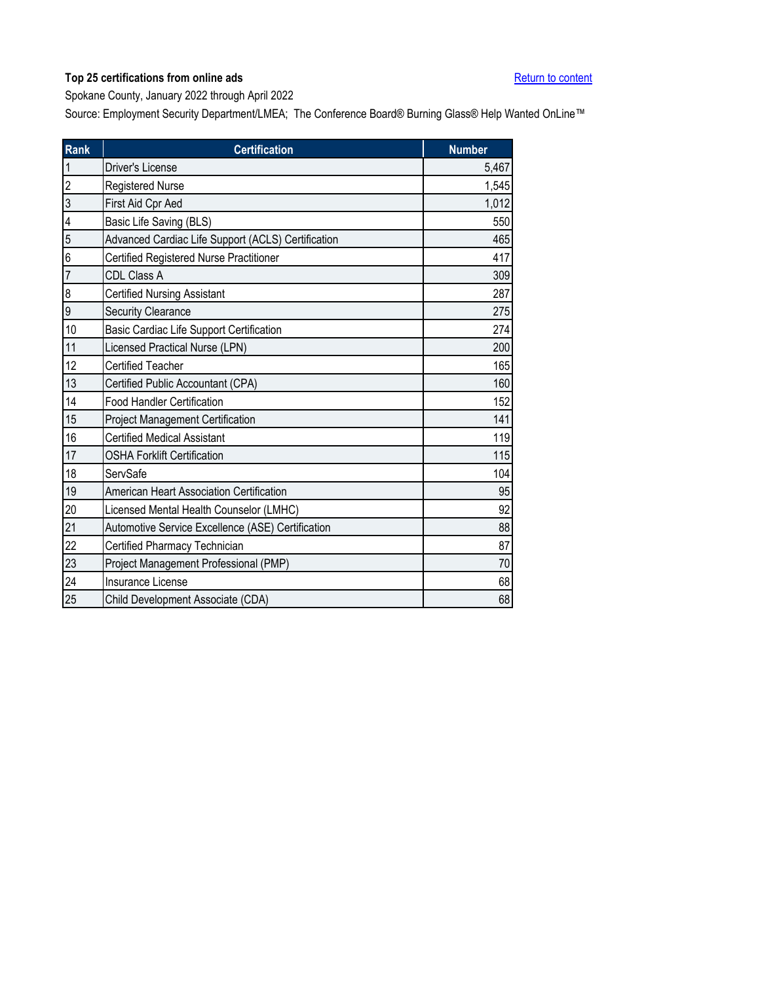<span id="page-33-0"></span>Spokane County, January 2022 through April 2022

| <b>Rank</b>    | <b>Certification</b>                               | <b>Number</b> |
|----------------|----------------------------------------------------|---------------|
| $\mathbf{1}$   | Driver's License                                   | 5,467         |
| $\overline{2}$ | Registered Nurse                                   | 1,545         |
| $\overline{3}$ | First Aid Cpr Aed                                  | 1,012         |
| 4              | Basic Life Saving (BLS)                            | 550           |
| 5              | Advanced Cardiac Life Support (ACLS) Certification | 465           |
| 6              | Certified Registered Nurse Practitioner            | 417           |
| $\overline{7}$ | <b>CDL Class A</b>                                 | 309           |
| 8              | <b>Certified Nursing Assistant</b>                 | 287           |
| 9              | Security Clearance                                 | 275           |
| 10             | Basic Cardiac Life Support Certification           | 274           |
| 11             | Licensed Practical Nurse (LPN)                     | 200           |
| 12             | <b>Certified Teacher</b>                           | 165           |
| 13             | Certified Public Accountant (CPA)                  | 160           |
| 14             | <b>Food Handler Certification</b>                  | 152           |
| 15             | <b>Project Management Certification</b>            | 141           |
| 16             | <b>Certified Medical Assistant</b>                 | 119           |
| 17             | <b>OSHA Forklift Certification</b>                 | 115           |
| 18             | ServSafe                                           | 104           |
| 19             | American Heart Association Certification           | 95            |
| 20             | Licensed Mental Health Counselor (LMHC)            | 92            |
| 21             | Automotive Service Excellence (ASE) Certification  | 88            |
| 22             | Certified Pharmacy Technician                      | 87            |
| 23             | Project Management Professional (PMP)              | 70            |
| 24             | Insurance License                                  | 68            |
| 25             | Child Development Associate (CDA)                  | 68            |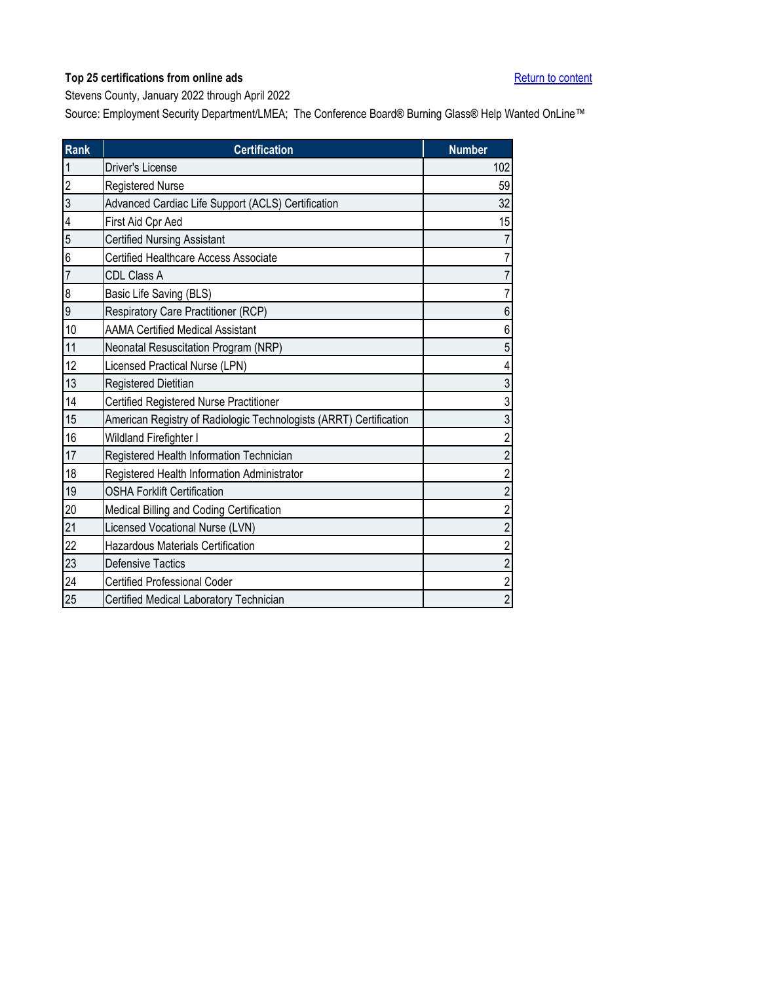<span id="page-34-0"></span>Stevens County, January 2022 through April 2022

| Rank           | <b>Certification</b>                                               | <b>Number</b>  |
|----------------|--------------------------------------------------------------------|----------------|
| $\mathbf{1}$   | <b>Driver's License</b>                                            | 102            |
| $\overline{2}$ | Registered Nurse                                                   | 59             |
| 3              | Advanced Cardiac Life Support (ACLS) Certification                 | 32             |
| 4              | First Aid Cpr Aed                                                  | 15             |
| 5              | <b>Certified Nursing Assistant</b>                                 |                |
| 6              | <b>Certified Healthcare Access Associate</b>                       |                |
| $\overline{7}$ | <b>CDL Class A</b>                                                 |                |
| 8              | Basic Life Saving (BLS)                                            |                |
| 9              | Respiratory Care Practitioner (RCP)                                | 6              |
| 10             | <b>AAMA Certified Medical Assistant</b>                            | 6              |
| 11             | Neonatal Resuscitation Program (NRP)                               | 5              |
| 12             | Licensed Practical Nurse (LPN)                                     |                |
| 13             | Registered Dietitian                                               | 3              |
| 14             | Certified Registered Nurse Practitioner                            | 3              |
| 15             | American Registry of Radiologic Technologists (ARRT) Certification | 3              |
| 16             | Wildland Firefighter I                                             | $\overline{2}$ |
| 17             | Registered Health Information Technician                           | $\overline{2}$ |
| 18             | Registered Health Information Administrator                        | $\overline{2}$ |
| 19             | <b>OSHA Forklift Certification</b>                                 | $\overline{2}$ |
| 20             | Medical Billing and Coding Certification                           | $\overline{c}$ |
| 21             | Licensed Vocational Nurse (LVN)                                    | $\overline{2}$ |
| 22             | Hazardous Materials Certification                                  | $\overline{c}$ |
| 23             | <b>Defensive Tactics</b>                                           | $\overline{c}$ |
| 24             | <b>Certified Professional Coder</b>                                | $\overline{2}$ |
| 25             | Certified Medical Laboratory Technician                            | $\overline{2}$ |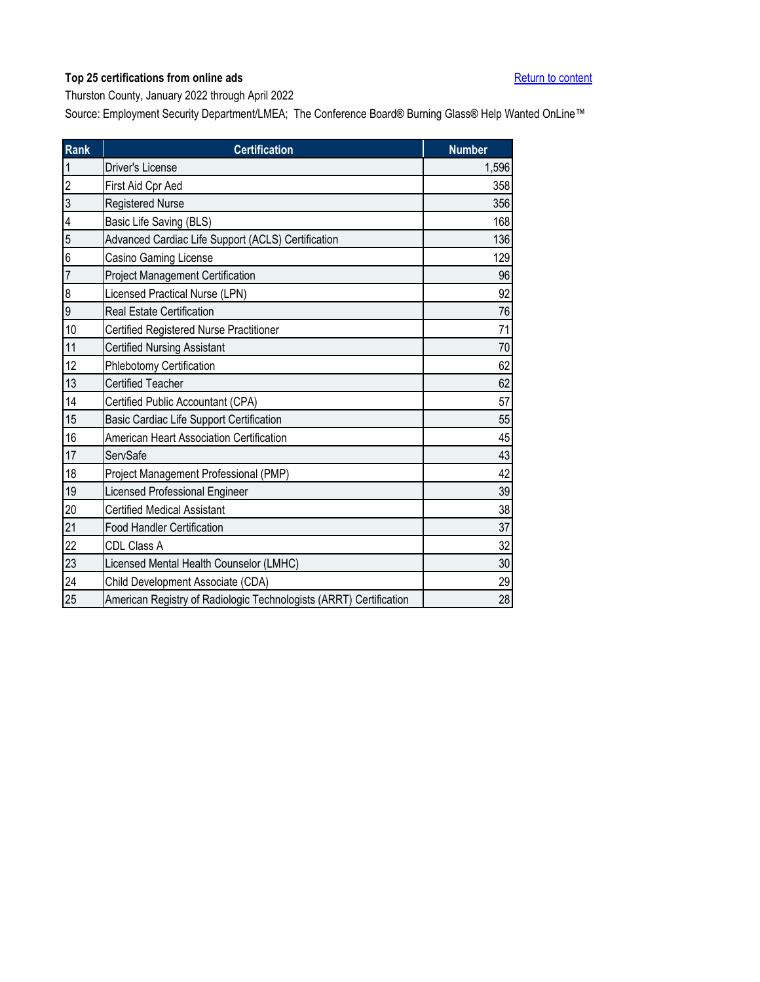<span id="page-35-0"></span>Thurston County, January 2022 through April 2022

| <b>Rank</b>    | <b>Certification</b>                                               | <b>Number</b> |
|----------------|--------------------------------------------------------------------|---------------|
| $\mathbf{1}$   | <b>Driver's License</b>                                            | 1,596         |
| $\overline{2}$ | First Aid Cpr Aed                                                  | 358           |
| 3              | <b>Registered Nurse</b>                                            | 356           |
| 4              | Basic Life Saving (BLS)                                            | 168           |
| 5              | Advanced Cardiac Life Support (ACLS) Certification                 | 136           |
| 6              | Casino Gaming License                                              | 129           |
| $\overline{7}$ | <b>Project Management Certification</b>                            | 96            |
| 8              | Licensed Practical Nurse (LPN)                                     | 92            |
| 9              | <b>Real Estate Certification</b>                                   | 76            |
| 10             | Certified Registered Nurse Practitioner                            | 71            |
| 11             | <b>Certified Nursing Assistant</b>                                 | 70            |
| 12             | Phlebotomy Certification                                           | 62            |
| 13             | <b>Certified Teacher</b>                                           | 62            |
| 14             | Certified Public Accountant (CPA)                                  | 57            |
| 15             | Basic Cardiac Life Support Certification                           | 55            |
| 16             | American Heart Association Certification                           | 45            |
| 17             | ServSafe                                                           | 43            |
| 18             | Project Management Professional (PMP)                              | 42            |
| 19             | <b>Licensed Professional Engineer</b>                              | 39            |
| 20             | <b>Certified Medical Assistant</b>                                 | 38            |
| 21             | <b>Food Handler Certification</b>                                  | 37            |
| 22             | CDL Class A                                                        | 32            |
| 23             | Licensed Mental Health Counselor (LMHC)                            | 30            |
| 24             | Child Development Associate (CDA)                                  | 29            |
| 25             | American Registry of Radiologic Technologists (ARRT) Certification | 28            |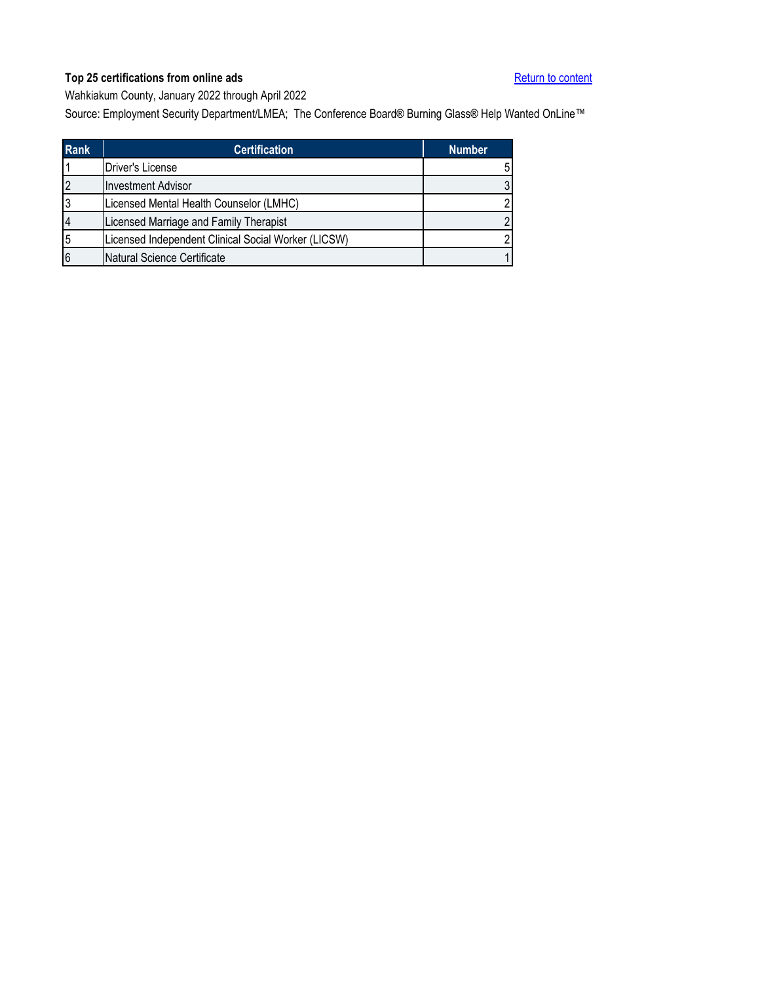<span id="page-36-0"></span>Wahkiakum County, January 2022 through April 2022

| <b>Rank</b> | <b>Certification</b>                                | <b>Number</b>  |
|-------------|-----------------------------------------------------|----------------|
|             | Driver's License                                    | 5              |
|             | <b>Investment Advisor</b>                           | 3              |
|             | Licensed Mental Health Counselor (LMHC)             | 2              |
|             | Licensed Marriage and Family Therapist              | $\mathfrak{p}$ |
| 5           | Licensed Independent Clinical Social Worker (LICSW) | 2              |
| 6           | Natural Science Certificate                         |                |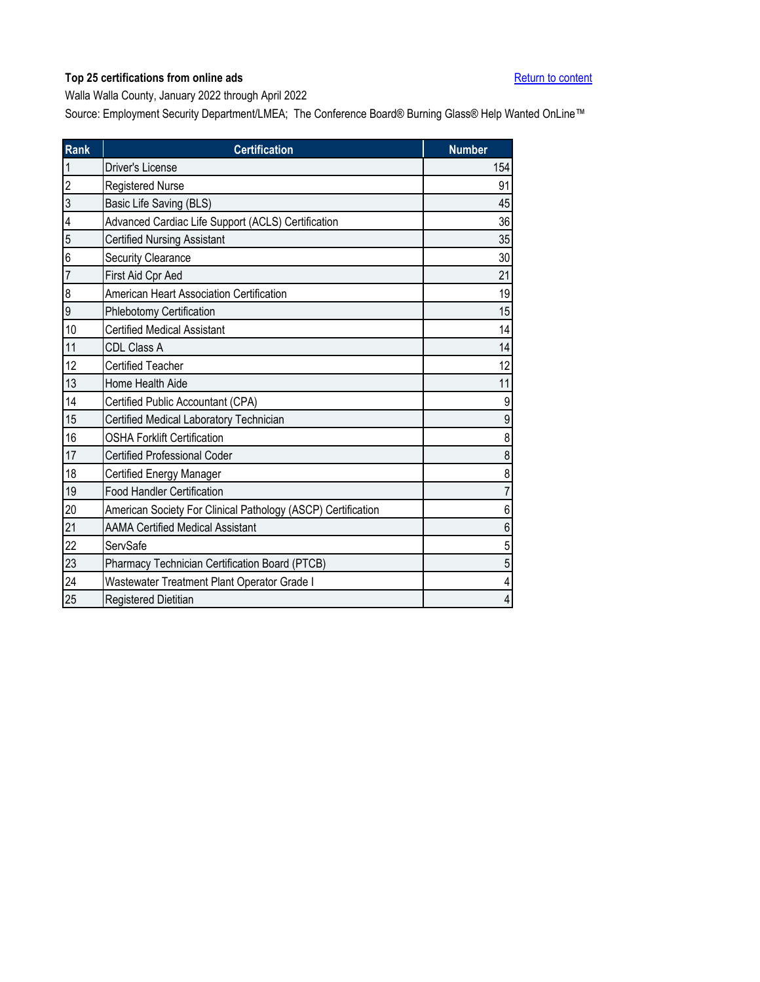<span id="page-37-0"></span>Walla Walla County, January 2022 through April 2022

| <b>Rank</b>    | <b>Certification</b>                                         | <b>Number</b>  |
|----------------|--------------------------------------------------------------|----------------|
| $\mathbf{1}$   | <b>Driver's License</b>                                      | 154            |
| $\overline{2}$ | <b>Registered Nurse</b>                                      | 91             |
| 3              | Basic Life Saving (BLS)                                      | 45             |
| 4              | Advanced Cardiac Life Support (ACLS) Certification           | 36             |
| 5              | <b>Certified Nursing Assistant</b>                           | 35             |
| 6              | <b>Security Clearance</b>                                    | 30             |
| $\overline{7}$ | First Aid Cpr Aed                                            | 21             |
| 8              | American Heart Association Certification                     | 19             |
| 9              | Phlebotomy Certification                                     | 15             |
| 10             | <b>Certified Medical Assistant</b>                           | 14             |
| 11             | CDL Class A                                                  | 14             |
| 12             | <b>Certified Teacher</b>                                     | 12             |
| 13             | Home Health Aide                                             | 11             |
| 14             | Certified Public Accountant (CPA)                            | 9              |
| 15             | Certified Medical Laboratory Technician                      | 9              |
| 16             | <b>OSHA Forklift Certification</b>                           | 8              |
| 17             | <b>Certified Professional Coder</b>                          | 8              |
| 18             | <b>Certified Energy Manager</b>                              | 8              |
| 19             | <b>Food Handler Certification</b>                            | 7              |
| 20             | American Society For Clinical Pathology (ASCP) Certification | 6              |
| 21             | <b>AAMA Certified Medical Assistant</b>                      | 6              |
| 22             | ServSafe                                                     | 5              |
| 23             | Pharmacy Technician Certification Board (PTCB)               | 5              |
| 24             | Wastewater Treatment Plant Operator Grade I                  | 4              |
| 25             | Registered Dietitian                                         | $\overline{4}$ |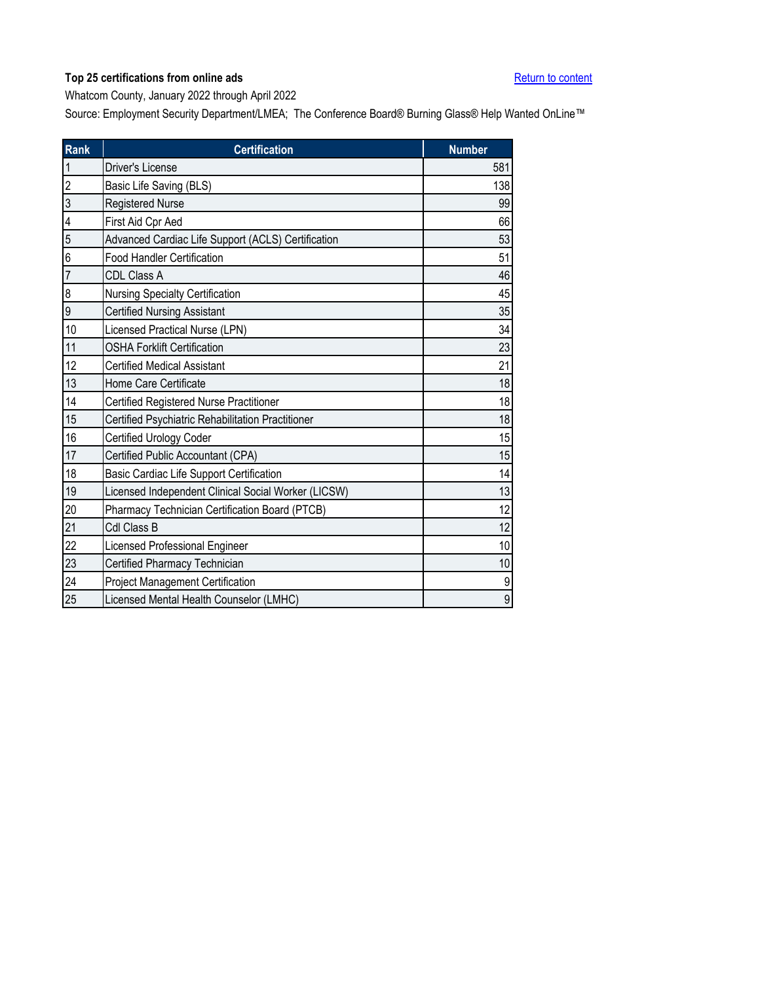<span id="page-38-0"></span>Whatcom County, January 2022 through April 2022

| Rank                     | <b>Certification</b>                                | <b>Number</b> |
|--------------------------|-----------------------------------------------------|---------------|
| $\overline{1}$           | Driver's License                                    | 581           |
| $\overline{c}$           | Basic Life Saving (BLS)                             | 138           |
| $\overline{3}$           | Registered Nurse                                    | 99            |
| $\overline{\mathcal{L}}$ | First Aid Cpr Aed                                   | 66            |
| 5                        | Advanced Cardiac Life Support (ACLS) Certification  | 53            |
| 6                        | <b>Food Handler Certification</b>                   | 51            |
| $\overline{7}$           | CDL Class A                                         | 46            |
| 8                        | Nursing Specialty Certification                     | 45            |
| 9                        | <b>Certified Nursing Assistant</b>                  | 35            |
| 10                       | Licensed Practical Nurse (LPN)                      | 34            |
| 11                       | <b>OSHA Forklift Certification</b>                  | 23            |
| 12                       | <b>Certified Medical Assistant</b>                  | 21            |
| 13                       | Home Care Certificate                               | 18            |
| 14                       | Certified Registered Nurse Practitioner             | 18            |
| 15                       | Certified Psychiatric Rehabilitation Practitioner   | 18            |
| 16                       | Certified Urology Coder                             | 15            |
| 17                       | Certified Public Accountant (CPA)                   | 15            |
| 18                       | Basic Cardiac Life Support Certification            | 14            |
| 19                       | Licensed Independent Clinical Social Worker (LICSW) | 13            |
| 20                       | Pharmacy Technician Certification Board (PTCB)      | 12            |
| 21                       | Cdl Class B                                         | 12            |
| 22                       | Licensed Professional Engineer                      | 10            |
| 23                       | Certified Pharmacy Technician                       | $10$          |
| 24                       | Project Management Certification                    | 9             |
| 25                       | Licensed Mental Health Counselor (LMHC)             | 9             |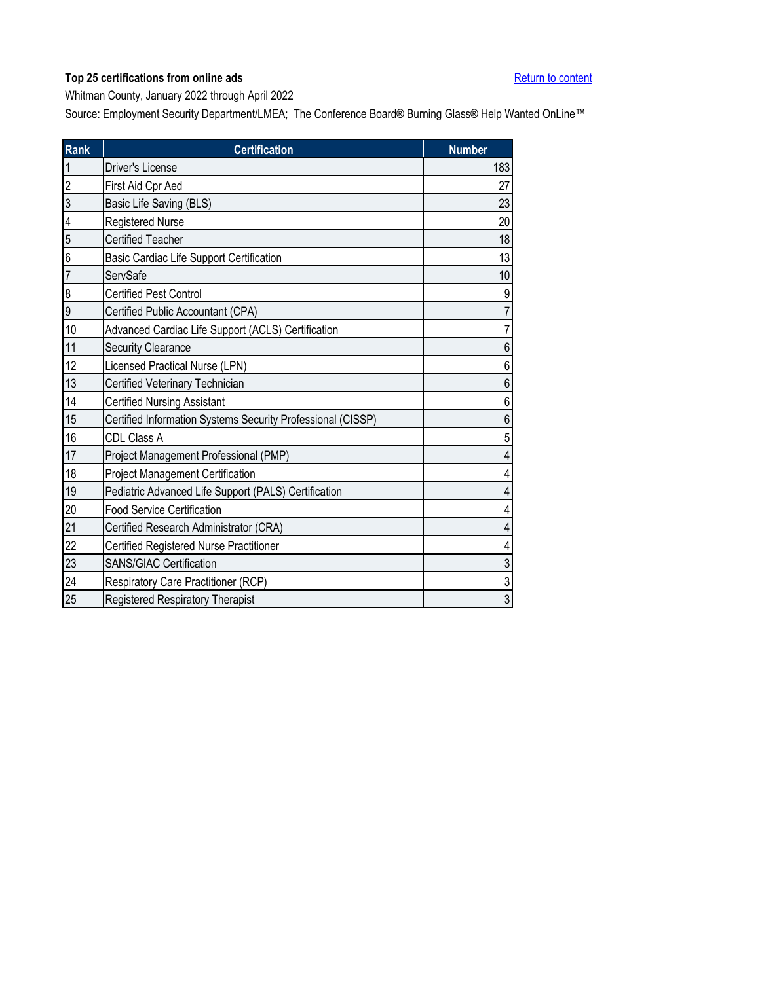<span id="page-39-0"></span>Whitman County, January 2022 through April 2022

| <b>Rank</b>    | <b>Certification</b>                                        | <b>Number</b>  |
|----------------|-------------------------------------------------------------|----------------|
| 1              | <b>Driver's License</b>                                     | 183            |
| $\overline{c}$ | First Aid Cpr Aed                                           | 27             |
| 3              | Basic Life Saving (BLS)                                     | 23             |
| 4              | Registered Nurse                                            | 20             |
| 5              | <b>Certified Teacher</b>                                    | 18             |
| 6              | Basic Cardiac Life Support Certification                    | 13             |
| $\overline{7}$ | ServSafe                                                    | 10             |
| 8              | <b>Certified Pest Control</b>                               | 9              |
| 9              | Certified Public Accountant (CPA)                           |                |
| 10             | Advanced Cardiac Life Support (ACLS) Certification          | 7              |
| 11             | <b>Security Clearance</b>                                   | 6              |
| 12             | Licensed Practical Nurse (LPN)                              | 6              |
| 13             | Certified Veterinary Technician                             | 6              |
| 14             | <b>Certified Nursing Assistant</b>                          | 6              |
| 15             | Certified Information Systems Security Professional (CISSP) | 6              |
| 16             | CDL Class A                                                 | 5              |
| 17             | Project Management Professional (PMP)                       | 4              |
| 18             | <b>Project Management Certification</b>                     | 4              |
| 19             | Pediatric Advanced Life Support (PALS) Certification        |                |
| 20             | <b>Food Service Certification</b>                           |                |
| 21             | Certified Research Administrator (CRA)                      |                |
| 22             | Certified Registered Nurse Practitioner                     |                |
| 23             | <b>SANS/GIAC Certification</b>                              | 3              |
| 24             | Respiratory Care Practitioner (RCP)                         | 3              |
| 25             | Registered Respiratory Therapist                            | $\overline{3}$ |